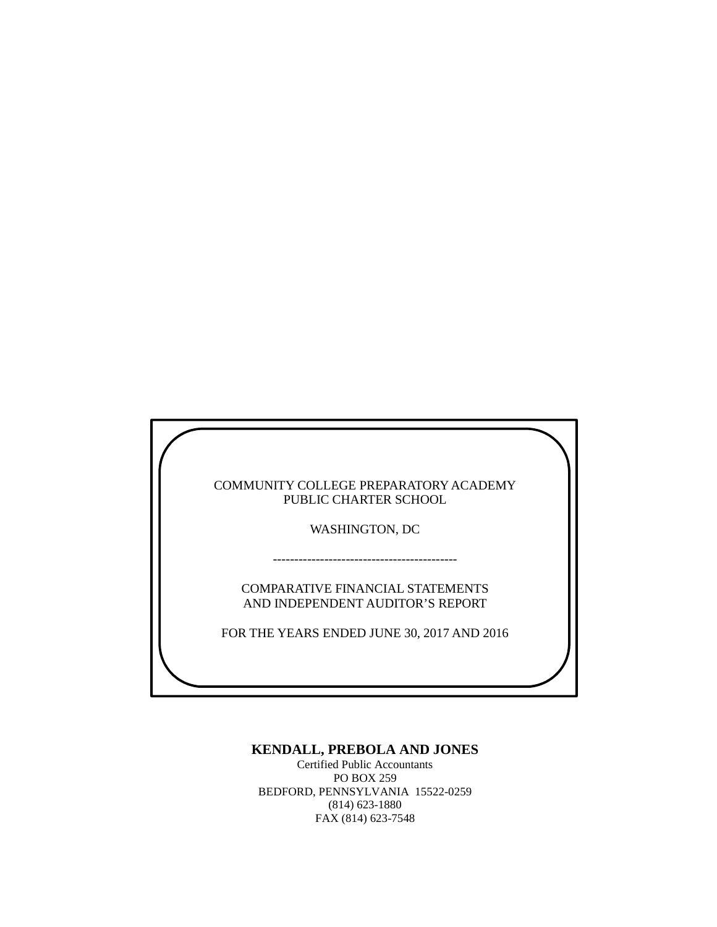

COMPARATIVE FINANCIAL STATEMENTS AND INDEPENDENT AUDITOR'S REPORT

FOR THE YEARS ENDED JUNE 30, 2017 AND 2016

#### **KENDALL, PREBOLA AND JONES**

Certified Public Accountants PO BOX 259 BEDFORD, PENNSYLVANIA 15522-0259 (814) 623-1880 FAX (814) 623-7548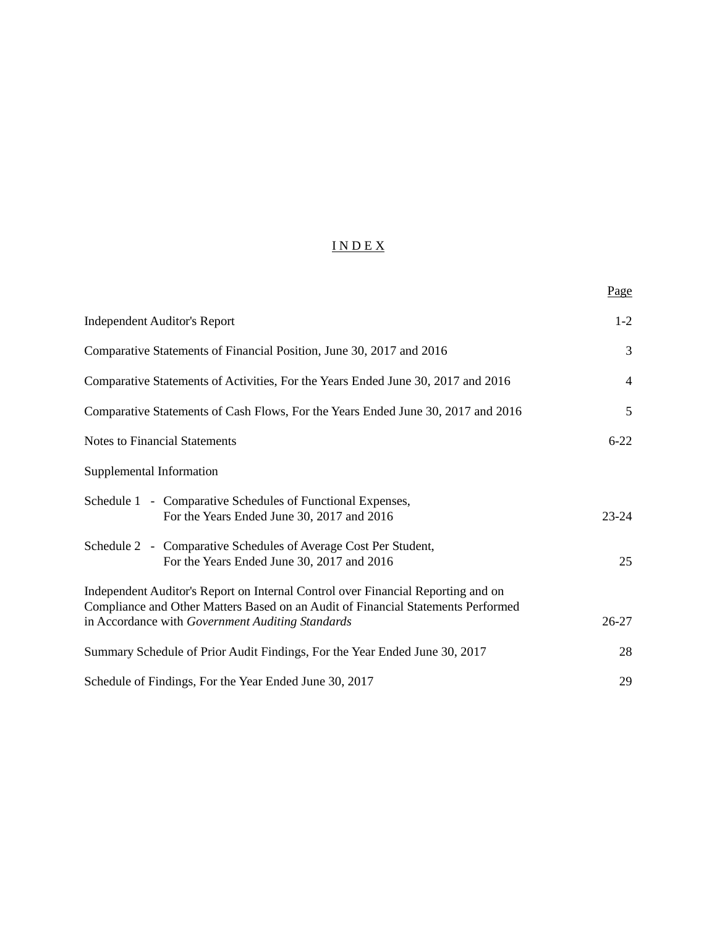## I N D E X

|                                                                                                                                                                                                                          | Page           |
|--------------------------------------------------------------------------------------------------------------------------------------------------------------------------------------------------------------------------|----------------|
| <b>Independent Auditor's Report</b>                                                                                                                                                                                      | $1-2$          |
| Comparative Statements of Financial Position, June 30, 2017 and 2016                                                                                                                                                     | 3              |
| Comparative Statements of Activities, For the Years Ended June 30, 2017 and 2016                                                                                                                                         | $\overline{4}$ |
| Comparative Statements of Cash Flows, For the Years Ended June 30, 2017 and 2016                                                                                                                                         | 5              |
| <b>Notes to Financial Statements</b>                                                                                                                                                                                     | $6 - 22$       |
| Supplemental Information                                                                                                                                                                                                 |                |
| Schedule 1 - Comparative Schedules of Functional Expenses,<br>For the Years Ended June 30, 2017 and 2016                                                                                                                 | $23 - 24$      |
| Schedule 2 - Comparative Schedules of Average Cost Per Student,<br>For the Years Ended June 30, 2017 and 2016                                                                                                            | 25             |
| Independent Auditor's Report on Internal Control over Financial Reporting and on<br>Compliance and Other Matters Based on an Audit of Financial Statements Performed<br>in Accordance with Government Auditing Standards | $26 - 27$      |
| Summary Schedule of Prior Audit Findings, For the Year Ended June 30, 2017                                                                                                                                               | 28             |
| Schedule of Findings, For the Year Ended June 30, 2017                                                                                                                                                                   | 29             |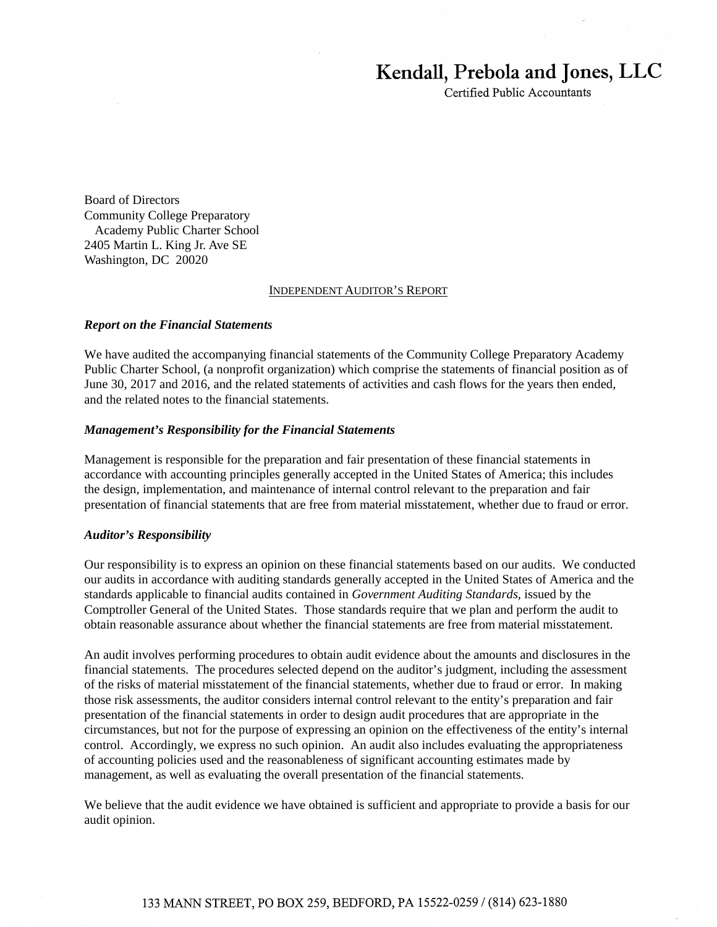## Kendall, Prebola and Jones, LLC

Certified Public Accountants

Board of Directors Community College Preparatory Academy Public Charter School 2405 Martin L. King Jr. Ave SE Washington, DC 20020

#### INDEPENDENT AUDITOR'S REPORT

#### *Report on the Financial Statements*

We have audited the accompanying financial statements of the Community College Preparatory Academy Public Charter School, (a nonprofit organization) which comprise the statements of financial position as of June 30, 2017 and 2016, and the related statements of activities and cash flows for the years then ended, and the related notes to the financial statements.

#### *Management's Responsibility for the Financial Statements*

Management is responsible for the preparation and fair presentation of these financial statements in accordance with accounting principles generally accepted in the United States of America; this includes the design, implementation, and maintenance of internal control relevant to the preparation and fair presentation of financial statements that are free from material misstatement, whether due to fraud or error.

#### *Auditor's Responsibility*

Our responsibility is to express an opinion on these financial statements based on our audits. We conducted our audits in accordance with auditing standards generally accepted in the United States of America and the standards applicable to financial audits contained in *Government Auditing Standards*, issued by the Comptroller General of the United States. Those standards require that we plan and perform the audit to obtain reasonable assurance about whether the financial statements are free from material misstatement.

An audit involves performing procedures to obtain audit evidence about the amounts and disclosures in the financial statements. The procedures selected depend on the auditor's judgment, including the assessment of the risks of material misstatement of the financial statements, whether due to fraud or error. In making those risk assessments, the auditor considers internal control relevant to the entity's preparation and fair presentation of the financial statements in order to design audit procedures that are appropriate in the circumstances, but not for the purpose of expressing an opinion on the effectiveness of the entity's internal control. Accordingly, we express no such opinion. An audit also includes evaluating the appropriateness of accounting policies used and the reasonableness of significant accounting estimates made by management, as well as evaluating the overall presentation of the financial statements.

We believe that the audit evidence we have obtained is sufficient and appropriate to provide a basis for our audit opinion.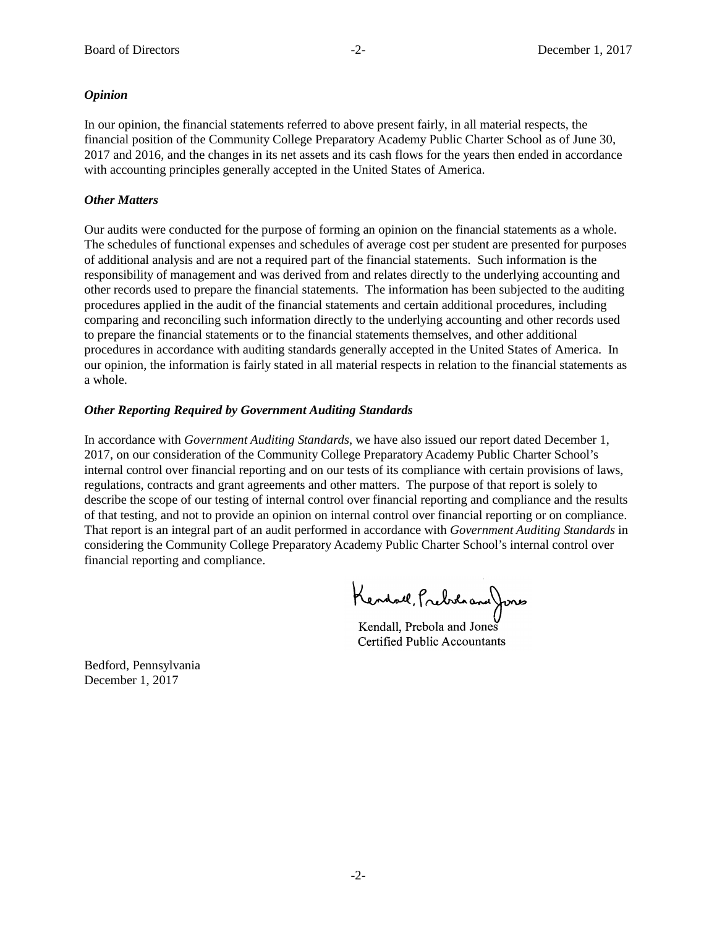#### *Opinion*  $$

In our opinion, the financial statements referred to above present fairly, in all material respects, the financial position of the Community College Preparatory Academy Public Charter School as of June 30, 2017 and 2016, and the changes in its net assets and its cash flows for the years then ended in accordance with accounting principles generally accepted in the United States of America.

### **Other Matters The supplemental schedules of average cost per student are presented average cost per student are presented and schedules of average cost per student are presented and schedules of average cost per student**

Our audits were conducted for the purpose of forming an opinion on the financial statements as a whole. The schedules of functional expenses and schedules of average cost per student are presented for purposes of additional analysis and are not a required part of the financial statements. Such information is the responsibility of management and was derived from and relates directly to the underlying accounting and other records used to prepare the financial statements. The information has been subjected to the auditing procedures applied in the audit of the financial statements and certain additional procedures, including comparing and reconciling such information directly to the underlying accounting and other records used to prepare the financial statements or to the financial statements themselves, and other additional procedures in accordance with auditing standards generally accepted in the United States of America. In  $\alpha$  our opinion, the information is fairly stated in all material respects in relation to the financial statements as a whole.

## *Other Reporting Required by Government Auditing Standards Other Reporting Required by Government Auditing Standards*

In accordance with *Government Auditing Standards*, we have also issued our report dated December 1, 2017, on our consideration of the Community College Preparatory Academy Public Charter School's internal control over financial reporting and on our tests of its compliance with certain provisions of laws, internal control over financial reporting and on our tests of its compliance with certain provisions of laws, regulations, contracts and grant agreements and other matters. The purpose of that report is solely to describe the scope of our testing of internal control over financial reporting and compliance and the results of that testing, and not to provide an opinion on internal control over financial reporting or on compliance. testing, and not to provide an opinion on the internal control over financial reporting or on compliance. That report is an integral part of an audit performed in accordance with *Government Auditing Standards* in considering the Community College Preparatory Academy Public Charter School's internal control over financial reporting and compliance. over financial reporting and compliance.

, fruinsti,

Kendall, Prebola and Jones Certified Public Accountants Certified Public Accountants Kendall, Prebola and Jones

Bedford, Pennsylvania Bedford, Pennsylvania December 1, 2017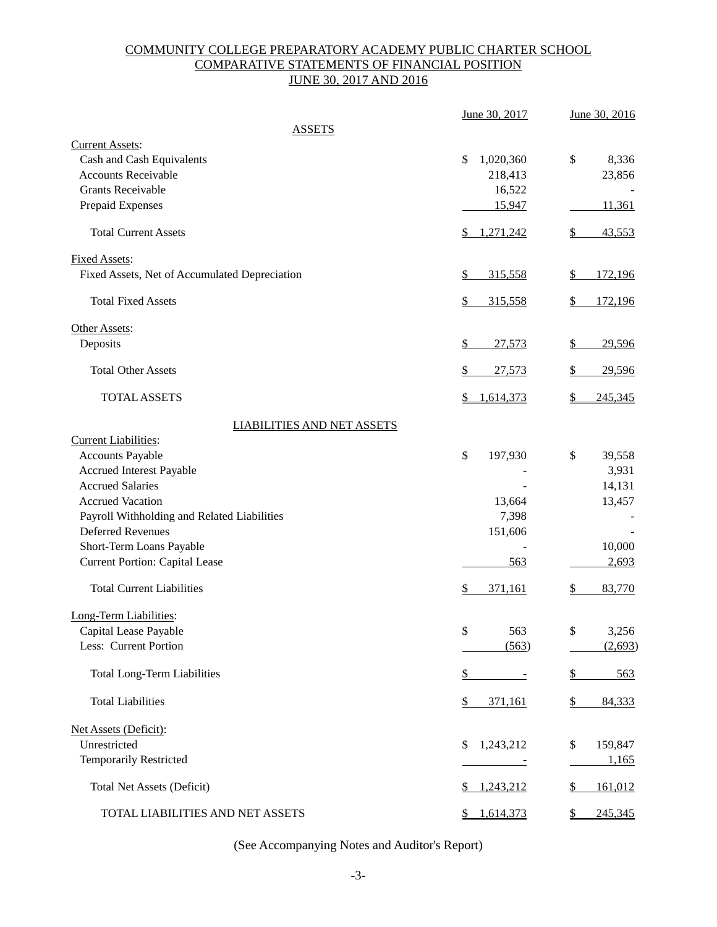### COMMUNITY COLLEGE PREPARATORY ACADEMY PUBLIC CHARTER SCHOOL COMPARATIVE STATEMENTS OF FINANCIAL POSITION JUNE 30, 2017 AND 2016

|                                               | June 30, 2017   | June 30, 2016            |
|-----------------------------------------------|-----------------|--------------------------|
| <b>ASSETS</b>                                 |                 |                          |
| <b>Current Assets:</b>                        |                 |                          |
| Cash and Cash Equivalents                     | 1,020,360<br>\$ | \$<br>8,336              |
| Accounts Receivable                           | 218,413         | 23,856                   |
| <b>Grants Receivable</b>                      | 16,522          |                          |
| Prepaid Expenses                              | 15,947          | 11,361                   |
| <b>Total Current Assets</b>                   | 1,271,242<br>\$ | \$<br>43,553             |
| <b>Fixed Assets:</b>                          |                 |                          |
| Fixed Assets, Net of Accumulated Depreciation | 315,558<br>\$   | $\frac{1}{2}$<br>172,196 |
| <b>Total Fixed Assets</b>                     | \$<br>315,558   | \$<br>172,196            |
| Other Assets:                                 |                 |                          |
| Deposits                                      | \$<br>27,573    | \$<br>29,596             |
| <b>Total Other Assets</b>                     | \$<br>27,573    | \$<br>29,596             |
| <b>TOTAL ASSETS</b>                           | 1,614,373<br>\$ | \$<br>245,345            |
| <b>LIABILITIES AND NET ASSETS</b>             |                 |                          |
| <b>Current Liabilities:</b>                   |                 |                          |
| <b>Accounts Payable</b>                       | \$<br>197,930   | \$<br>39,558             |
| Accrued Interest Payable                      |                 | 3,931                    |
| <b>Accrued Salaries</b>                       |                 | 14,131                   |
| <b>Accrued Vacation</b>                       | 13,664          | 13,457                   |
| Payroll Withholding and Related Liabilities   | 7,398           |                          |
| <b>Deferred Revenues</b>                      | 151,606         |                          |
| Short-Term Loans Payable                      |                 | 10,000                   |
| <b>Current Portion: Capital Lease</b>         | 563             | 2,693                    |
| <b>Total Current Liabilities</b>              | \$<br>371,161   | \$<br>83,770             |
| Long-Term Liabilities:                        |                 |                          |
| Capital Lease Payable                         | \$<br>563       | \$<br>3,256              |
| Less: Current Portion                         | (563)           | (2,693)                  |
| <b>Total Long-Term Liabilities</b>            | \$              | \$<br><u>563</u>         |
| <b>Total Liabilities</b>                      | \$<br>371,161   | \$<br>84,333             |
| Net Assets (Deficit):                         |                 |                          |
| Unrestricted                                  | 1,243,212<br>S. | \$<br>159,847            |
| Temporarily Restricted                        |                 | 1,165                    |
| <b>Total Net Assets (Deficit)</b>             | \$1,243,212     | 161,012<br>\$            |
| TOTAL LIABILITIES AND NET ASSETS              | \$1,614,373     | 245,345<br>\$            |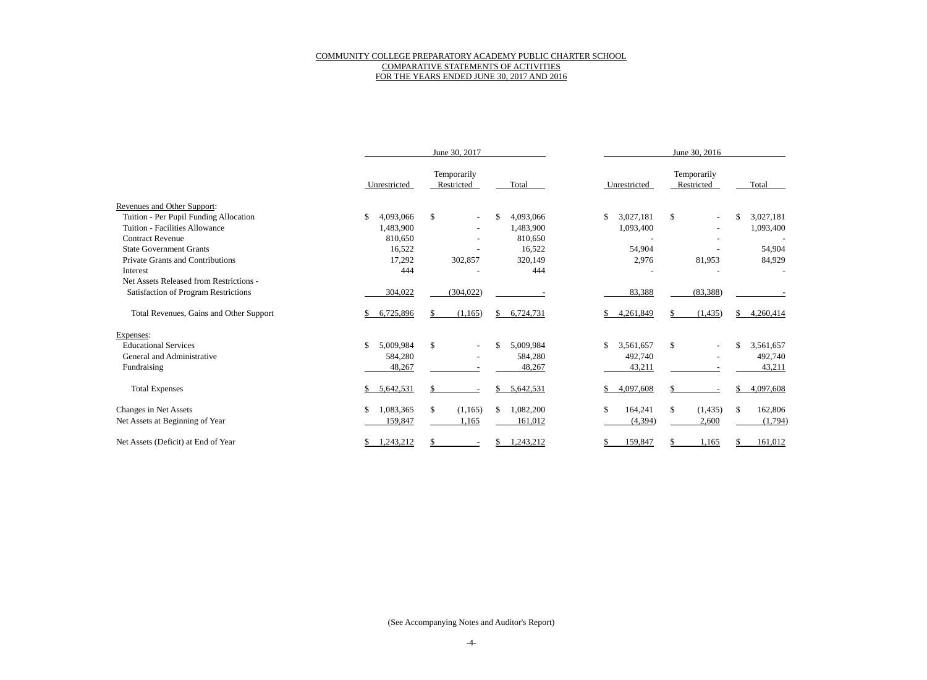#### COMMUNITY COLLEGE PREPARATORY ACADEMY PUBLIC CHARTER SCHOOL COMPARATIVE STATEMENTS OF ACTIVITIES FOR THE YEARS ENDED JUNE 30, 2017 AND 2016

|                                         |                 | June 30, 2017             |           |                 | June 30, 2016             |                            |  |  |
|-----------------------------------------|-----------------|---------------------------|-----------|-----------------|---------------------------|----------------------------|--|--|
|                                         | Unrestricted    | Temporarily<br>Restricted | Total     | Unrestricted    | Temporarily<br>Restricted | Total                      |  |  |
| Revenues and Other Support:             |                 |                           |           |                 |                           |                            |  |  |
| Tuition - Per Pupil Funding Allocation  | \$<br>4,093,066 | $\mathbb{S}$              | 4,093,066 | \$<br>3,027,181 | $\mathbb{S}$              | <sup>\$</sup><br>3,027,181 |  |  |
| Tuition - Facilities Allowance          | 1,483,900       |                           | 1,483,900 | 1,093,400       |                           | 1,093,400                  |  |  |
| <b>Contract Revenue</b>                 | 810,650         |                           | 810,650   |                 |                           |                            |  |  |
| <b>State Government Grants</b>          | 16,522          |                           | 16,522    | 54,904          |                           | 54,904                     |  |  |
| <b>Private Grants and Contributions</b> | 17,292          | 302,857                   | 320,149   | 2,976           | 81,953                    | 84,929                     |  |  |
| Interest                                | 444             |                           | 444       |                 |                           |                            |  |  |
| Net Assets Released from Restrictions - |                 |                           |           |                 |                           |                            |  |  |
| Satisfaction of Program Restrictions    | 304,022         | (304, 022)                |           | 83,388          | (83, 388)                 |                            |  |  |
| Total Revenues, Gains and Other Support | 6,725,896       | (1,165)                   | 6,724,731 | 4,261,849       | (1,435)                   | \$<br>4,260,414            |  |  |
| Expenses:                               |                 |                           |           |                 |                           |                            |  |  |
| <b>Educational Services</b>             | 5,009,984       | \$                        | 5,009,984 | \$<br>3,561,657 | \$                        | <sup>\$</sup><br>3,561,657 |  |  |
| General and Administrative              | 584,280         |                           | 584,280   | 492,740         |                           | 492,740                    |  |  |
| Fundraising                             | 48,267          |                           | 48,267    | 43,211          |                           | 43,211                     |  |  |
| <b>Total Expenses</b>                   | 5,642,531       |                           | 5,642,531 | 4,097,608       |                           | 4,097,608                  |  |  |
| Changes in Net Assets                   | 1,083,365       | \$<br>(1,165)             | 1,082,200 | \$<br>164,241   | \$<br>(1,435)             | 162,806<br>\$              |  |  |
| Net Assets at Beginning of Year         | 159,847         | 1,165                     | 161,012   | (4,394)         | 2,600                     | (1,794)                    |  |  |
| Net Assets (Deficit) at End of Year     | 1,243,212       |                           | 1,243,212 | 159,847         | 1,165                     | 161,012                    |  |  |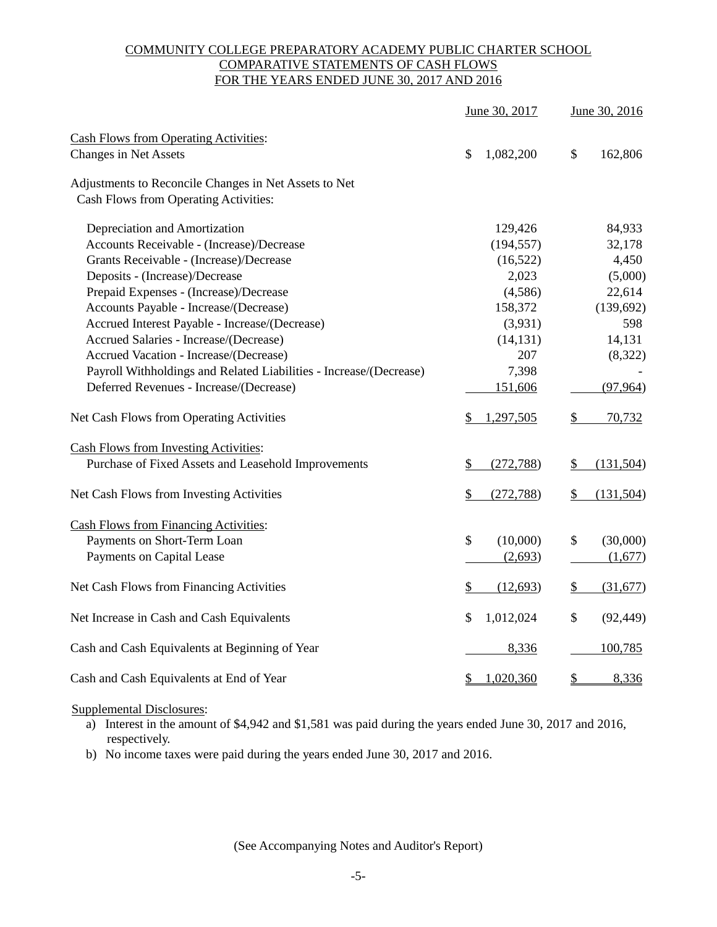### COMMUNITY COLLEGE PREPARATORY ACADEMY PUBLIC CHARTER SCHOOL COMPARATIVE STATEMENTS OF CASH FLOWS FOR THE YEARS ENDED JUNE 30, 2017 AND 2016

|                                                                    | June 30, 2017    | June 30, 2016          |  |
|--------------------------------------------------------------------|------------------|------------------------|--|
| <b>Cash Flows from Operating Activities:</b>                       |                  |                        |  |
| <b>Changes in Net Assets</b>                                       | \$<br>1,082,200  | \$<br>162,806          |  |
| Adjustments to Reconcile Changes in Net Assets to Net              |                  |                        |  |
| Cash Flows from Operating Activities:                              |                  |                        |  |
| Depreciation and Amortization                                      | 129,426          | 84,933                 |  |
| Accounts Receivable - (Increase)/Decrease                          | (194, 557)       | 32,178                 |  |
| Grants Receivable - (Increase)/Decrease                            | (16, 522)        | 4,450                  |  |
| Deposits - (Increase)/Decrease                                     | 2,023            | (5,000)                |  |
| Prepaid Expenses - (Increase)/Decrease                             | (4,586)          | 22,614                 |  |
| Accounts Payable - Increase/(Decrease)                             | 158,372          | (139, 692)             |  |
| Accrued Interest Payable - Increase/(Decrease)                     | (3,931)          | 598                    |  |
| Accrued Salaries - Increase/(Decrease)                             | (14, 131)        | 14,131                 |  |
| Accrued Vacation - Increase/(Decrease)                             | 207              | (8,322)                |  |
| Payroll Withholdings and Related Liabilities - Increase/(Decrease) | 7,398            |                        |  |
| Deferred Revenues - Increase/(Decrease)                            | 151,606          | (97, 964)              |  |
| Net Cash Flows from Operating Activities                           | 1,297,505<br>\$  | \$<br>70,732           |  |
| <b>Cash Flows from Investing Activities:</b>                       |                  |                        |  |
| Purchase of Fixed Assets and Leasehold Improvements                | (272, 788)<br>\$ | (131,504)<br>\$        |  |
| Net Cash Flows from Investing Activities                           | (272, 788)<br>\$ | (131,504)<br>\$        |  |
| <b>Cash Flows from Financing Activities:</b>                       |                  |                        |  |
| Payments on Short-Term Loan                                        | \$<br>(10,000)   | (30,000)<br>\$         |  |
| Payments on Capital Lease                                          | (2,693)          | (1,677)                |  |
| Net Cash Flows from Financing Activities                           | (12,693)<br>\$   | (31,677)<br><u>\$</u>  |  |
| Net Increase in Cash and Cash Equivalents                          | \$<br>1,012,024  | \$<br>(92, 449)        |  |
| Cash and Cash Equivalents at Beginning of Year                     | 8,336            | 100,785                |  |
| Cash and Cash Equivalents at End of Year                           | 1,020,360<br>\$  | $\frac{1}{2}$<br>8,336 |  |

Supplemental Disclosures:

a) Interest in the amount of \$4,942 and \$1,581 was paid during the years ended June 30, 2017 and 2016, respectively.

b) No income taxes were paid during the years ended June 30, 2017 and 2016.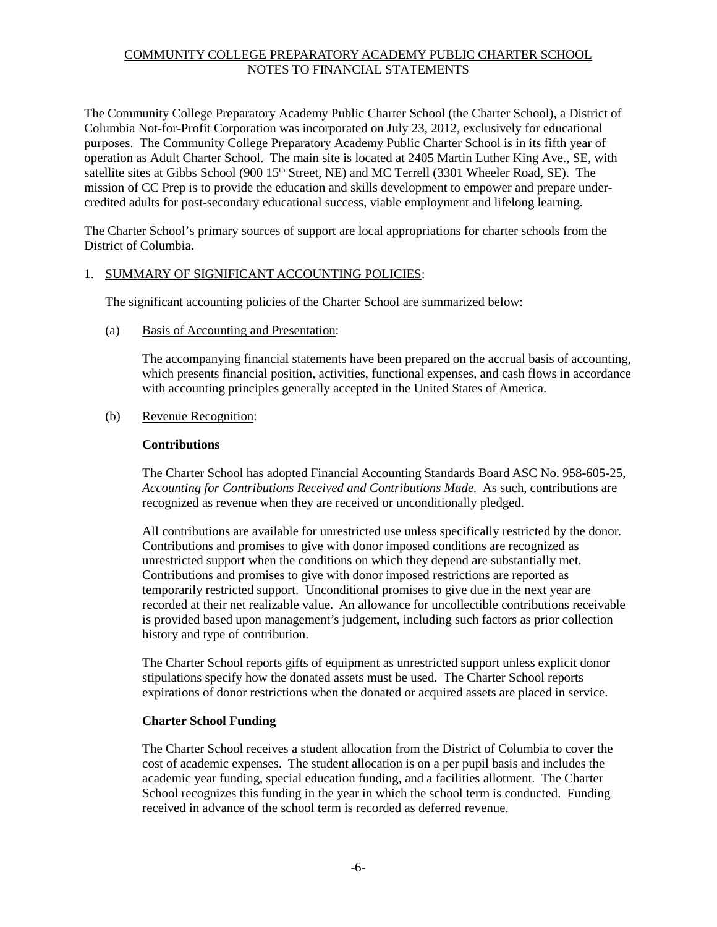The Community College Preparatory Academy Public Charter School (the Charter School), a District of Columbia Not-for-Profit Corporation was incorporated on July 23, 2012, exclusively for educational purposes. The Community College Preparatory Academy Public Charter School is in its fifth year of operation as Adult Charter School. The main site is located at 2405 Martin Luther King Ave., SE, with satellite sites at Gibbs School (900 15<sup>th</sup> Street, NE) and MC Terrell (3301 Wheeler Road, SE). The mission of CC Prep is to provide the education and skills development to empower and prepare undercredited adults for post-secondary educational success, viable employment and lifelong learning.

The Charter School's primary sources of support are local appropriations for charter schools from the District of Columbia.

#### 1. SUMMARY OF SIGNIFICANT ACCOUNTING POLICIES:

The significant accounting policies of the Charter School are summarized below:

(a) Basis of Accounting and Presentation:

The accompanying financial statements have been prepared on the accrual basis of accounting, which presents financial position, activities, functional expenses, and cash flows in accordance with accounting principles generally accepted in the United States of America.

(b) Revenue Recognition:

#### **Contributions**

The Charter School has adopted Financial Accounting Standards Board ASC No. 958-605-25, *Accounting for Contributions Received and Contributions Made.* As such, contributions are recognized as revenue when they are received or unconditionally pledged.

All contributions are available for unrestricted use unless specifically restricted by the donor. Contributions and promises to give with donor imposed conditions are recognized as unrestricted support when the conditions on which they depend are substantially met. Contributions and promises to give with donor imposed restrictions are reported as temporarily restricted support. Unconditional promises to give due in the next year are recorded at their net realizable value. An allowance for uncollectible contributions receivable is provided based upon management's judgement, including such factors as prior collection history and type of contribution.

The Charter School reports gifts of equipment as unrestricted support unless explicit donor stipulations specify how the donated assets must be used. The Charter School reports expirations of donor restrictions when the donated or acquired assets are placed in service.

### **Charter School Funding**

The Charter School receives a student allocation from the District of Columbia to cover the cost of academic expenses. The student allocation is on a per pupil basis and includes the academic year funding, special education funding, and a facilities allotment. The Charter School recognizes this funding in the year in which the school term is conducted. Funding received in advance of the school term is recorded as deferred revenue.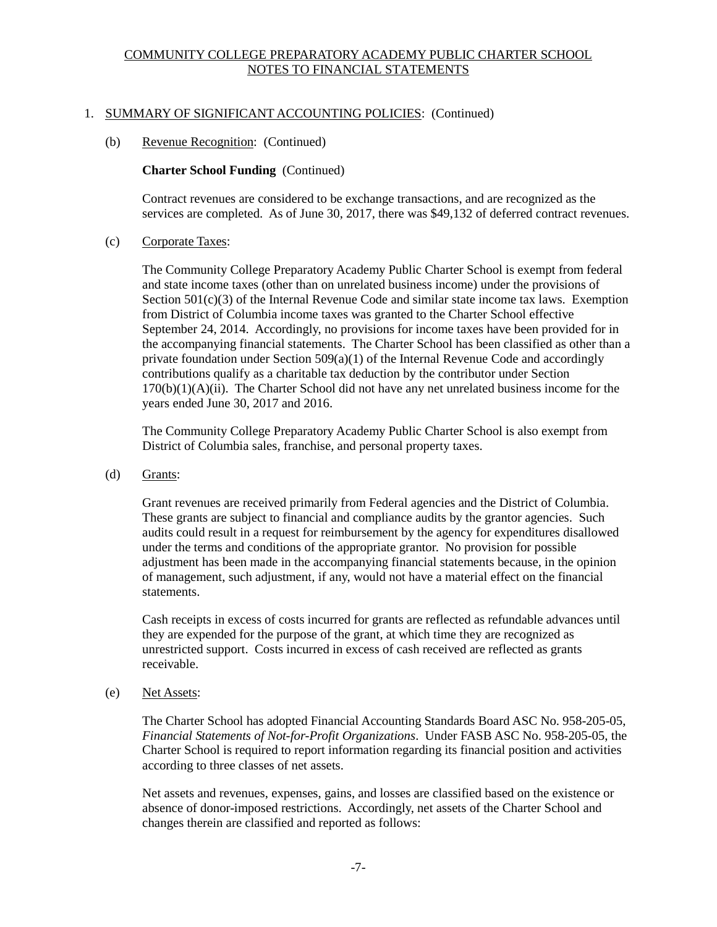### 1. SUMMARY OF SIGNIFICANT ACCOUNTING POLICIES: (Continued)

(b) Revenue Recognition: (Continued)

### **Charter School Funding** (Continued)

Contract revenues are considered to be exchange transactions, and are recognized as the services are completed. As of June 30, 2017, there was \$49,132 of deferred contract revenues.

(c) Corporate Taxes:

The Community College Preparatory Academy Public Charter School is exempt from federal and state income taxes (other than on unrelated business income) under the provisions of Section  $501(c)(3)$  of the Internal Revenue Code and similar state income tax laws. Exemption from District of Columbia income taxes was granted to the Charter School effective September 24, 2014. Accordingly, no provisions for income taxes have been provided for in the accompanying financial statements. The Charter School has been classified as other than a private foundation under Section  $509(a)(1)$  of the Internal Revenue Code and accordingly contributions qualify as a charitable tax deduction by the contributor under Section  $170(b)(1)(A)(ii)$ . The Charter School did not have any net unrelated business income for the years ended June 30, 2017 and 2016.

The Community College Preparatory Academy Public Charter School is also exempt from District of Columbia sales, franchise, and personal property taxes.

(d) Grants:

Grant revenues are received primarily from Federal agencies and the District of Columbia. These grants are subject to financial and compliance audits by the grantor agencies. Such audits could result in a request for reimbursement by the agency for expenditures disallowed under the terms and conditions of the appropriate grantor. No provision for possible adjustment has been made in the accompanying financial statements because, in the opinion of management, such adjustment, if any, would not have a material effect on the financial statements.

Cash receipts in excess of costs incurred for grants are reflected as refundable advances until they are expended for the purpose of the grant, at which time they are recognized as unrestricted support. Costs incurred in excess of cash received are reflected as grants receivable.

(e) Net Assets:

The Charter School has adopted Financial Accounting Standards Board ASC No. 958-205-05, *Financial Statements of Not-for-Profit Organizations*. Under FASB ASC No. 958-205-05, the Charter School is required to report information regarding its financial position and activities according to three classes of net assets.

Net assets and revenues, expenses, gains, and losses are classified based on the existence or absence of donor-imposed restrictions. Accordingly, net assets of the Charter School and changes therein are classified and reported as follows: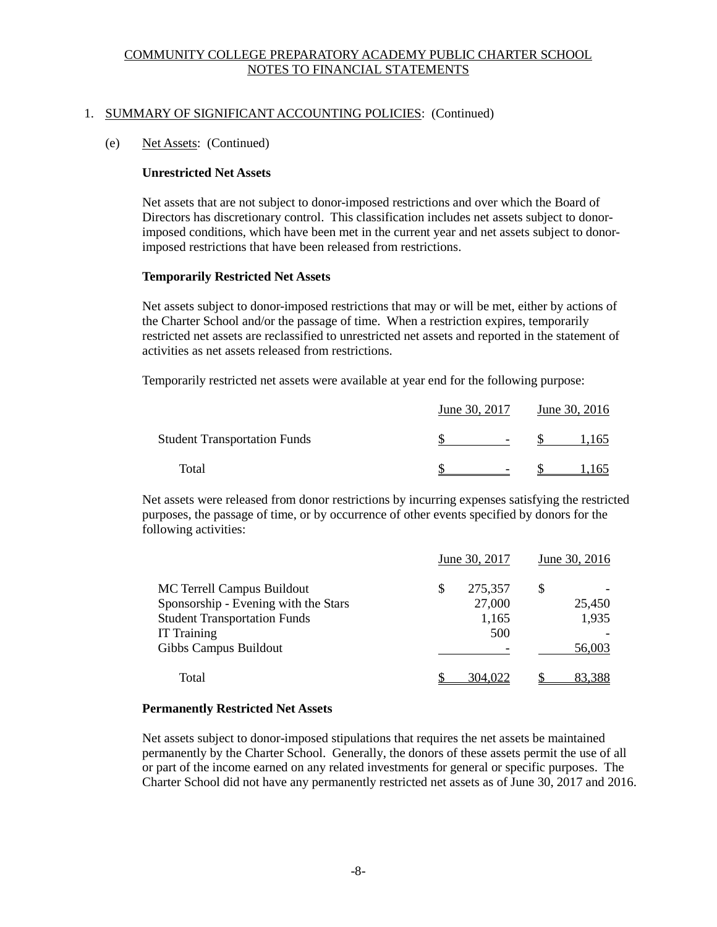### 1. SUMMARY OF SIGNIFICANT ACCOUNTING POLICIES: (Continued)

#### (e) Net Assets: (Continued)

#### **Unrestricted Net Assets**

Net assets that are not subject to donor-imposed restrictions and over which the Board of Directors has discretionary control. This classification includes net assets subject to donorimposed conditions, which have been met in the current year and net assets subject to donorimposed restrictions that have been released from restrictions.

#### **Temporarily Restricted Net Assets**

Net assets subject to donor-imposed restrictions that may or will be met, either by actions of the Charter School and/or the passage of time. When a restriction expires, temporarily restricted net assets are reclassified to unrestricted net assets and reported in the statement of activities as net assets released from restrictions.

Temporarily restricted net assets were available at year end for the following purpose:

|                                     | June 30, 2017 | June 30, 2016            |  |     |
|-------------------------------------|---------------|--------------------------|--|-----|
| <b>Student Transportation Funds</b> |               | $\overline{\phantom{0}}$ |  | 165 |
| Total                               |               | $\overline{\phantom{0}}$ |  |     |

Net assets were released from donor restrictions by incurring expenses satisfying the restricted purposes, the passage of time, or by occurrence of other events specified by donors for the following activities:

|                                      | June 30, 2017 |   | June 30, 2016 |
|--------------------------------------|---------------|---|---------------|
| MC Terrell Campus Buildout           | \$<br>275,357 | S |               |
| Sponsorship - Evening with the Stars | 27,000        |   | 25,450        |
| <b>Student Transportation Funds</b>  | 1,165         |   | 1,935         |
| <b>IT Training</b>                   | 500           |   |               |
| Gibbs Campus Buildout                |               |   | 56,003        |
| Total                                | 304.022       |   | 83,388        |

#### **Permanently Restricted Net Assets**

Net assets subject to donor-imposed stipulations that requires the net assets be maintained permanently by the Charter School. Generally, the donors of these assets permit the use of all or part of the income earned on any related investments for general or specific purposes. The Charter School did not have any permanently restricted net assets as of June 30, 2017 and 2016.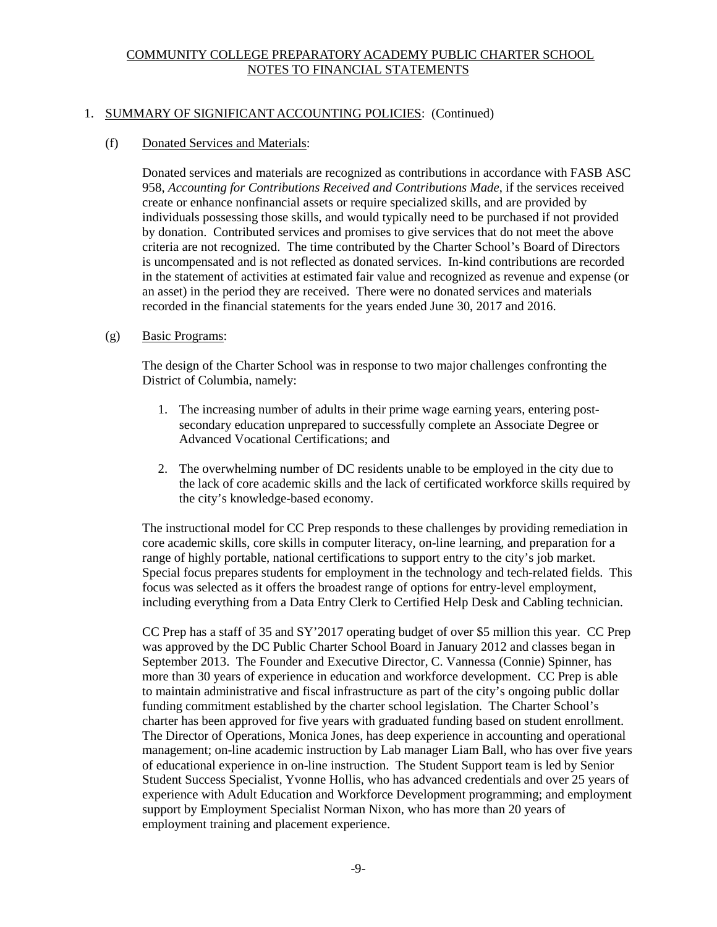### 1. SUMMARY OF SIGNIFICANT ACCOUNTING POLICIES: (Continued)

#### (f) Donated Services and Materials:

Donated services and materials are recognized as contributions in accordance with FASB ASC 958, *Accounting for Contributions Received and Contributions Made*, if the services received create or enhance nonfinancial assets or require specialized skills, and are provided by individuals possessing those skills, and would typically need to be purchased if not provided by donation. Contributed services and promises to give services that do not meet the above criteria are not recognized. The time contributed by the Charter School's Board of Directors is uncompensated and is not reflected as donated services. In-kind contributions are recorded in the statement of activities at estimated fair value and recognized as revenue and expense (or an asset) in the period they are received. There were no donated services and materials recorded in the financial statements for the years ended June 30, 2017 and 2016.

#### (g) Basic Programs:

The design of the Charter School was in response to two major challenges confronting the District of Columbia, namely:

- 1. The increasing number of adults in their prime wage earning years, entering postsecondary education unprepared to successfully complete an Associate Degree or Advanced Vocational Certifications; and
- 2. The overwhelming number of DC residents unable to be employed in the city due to the lack of core academic skills and the lack of certificated workforce skills required by the city's knowledge-based economy.

The instructional model for CC Prep responds to these challenges by providing remediation in core academic skills, core skills in computer literacy, on-line learning, and preparation for a range of highly portable, national certifications to support entry to the city's job market. Special focus prepares students for employment in the technology and tech-related fields. This focus was selected as it offers the broadest range of options for entry-level employment, including everything from a Data Entry Clerk to Certified Help Desk and Cabling technician.

CC Prep has a staff of 35 and SY'2017 operating budget of over \$5 million this year. CC Prep was approved by the DC Public Charter School Board in January 2012 and classes began in September 2013. The Founder and Executive Director, C. Vannessa (Connie) Spinner, has more than 30 years of experience in education and workforce development. CC Prep is able to maintain administrative and fiscal infrastructure as part of the city's ongoing public dollar funding commitment established by the charter school legislation. The Charter School's charter has been approved for five years with graduated funding based on student enrollment. The Director of Operations, Monica Jones, has deep experience in accounting and operational management; on-line academic instruction by Lab manager Liam Ball, who has over five years of educational experience in on-line instruction. The Student Support team is led by Senior Student Success Specialist, Yvonne Hollis, who has advanced credentials and over 25 years of experience with Adult Education and Workforce Development programming; and employment support by Employment Specialist Norman Nixon, who has more than 20 years of employment training and placement experience.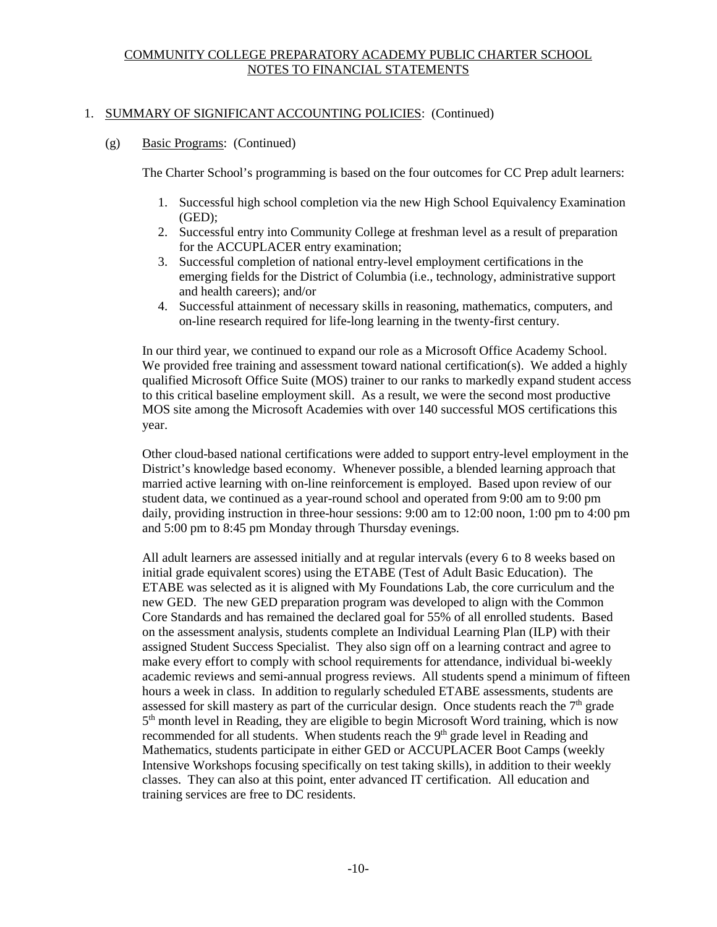### 1. SUMMARY OF SIGNIFICANT ACCOUNTING POLICIES: (Continued)

(g) Basic Programs: (Continued)

The Charter School's programming is based on the four outcomes for CC Prep adult learners:

- 1. Successful high school completion via the new High School Equivalency Examination (GED);
- 2. Successful entry into Community College at freshman level as a result of preparation for the ACCUPLACER entry examination;
- 3. Successful completion of national entry-level employment certifications in the emerging fields for the District of Columbia (i.e., technology, administrative support and health careers); and/or
- 4. Successful attainment of necessary skills in reasoning, mathematics, computers, and on-line research required for life-long learning in the twenty-first century.

In our third year, we continued to expand our role as a Microsoft Office Academy School. We provided free training and assessment toward national certification(s). We added a highly qualified Microsoft Office Suite (MOS) trainer to our ranks to markedly expand student access to this critical baseline employment skill. As a result, we were the second most productive MOS site among the Microsoft Academies with over 140 successful MOS certifications this year.

Other cloud-based national certifications were added to support entry-level employment in the District's knowledge based economy. Whenever possible, a blended learning approach that married active learning with on-line reinforcement is employed. Based upon review of our student data, we continued as a year-round school and operated from 9:00 am to 9:00 pm daily, providing instruction in three-hour sessions: 9:00 am to 12:00 noon, 1:00 pm to 4:00 pm and 5:00 pm to 8:45 pm Monday through Thursday evenings.

All adult learners are assessed initially and at regular intervals (every 6 to 8 weeks based on initial grade equivalent scores) using the ETABE (Test of Adult Basic Education). The ETABE was selected as it is aligned with My Foundations Lab, the core curriculum and the new GED. The new GED preparation program was developed to align with the Common Core Standards and has remained the declared goal for 55% of all enrolled students. Based on the assessment analysis, students complete an Individual Learning Plan (ILP) with their assigned Student Success Specialist. They also sign off on a learning contract and agree to make every effort to comply with school requirements for attendance, individual bi-weekly academic reviews and semi-annual progress reviews. All students spend a minimum of fifteen hours a week in class. In addition to regularly scheduled ETABE assessments, students are assessed for skill mastery as part of the curricular design. Once students reach the  $7<sup>th</sup>$  grade 5<sup>th</sup> month level in Reading, they are eligible to begin Microsoft Word training, which is now recommended for all students. When students reach the 9<sup>th</sup> grade level in Reading and Mathematics, students participate in either GED or ACCUPLACER Boot Camps (weekly Intensive Workshops focusing specifically on test taking skills), in addition to their weekly classes. They can also at this point, enter advanced IT certification. All education and training services are free to DC residents.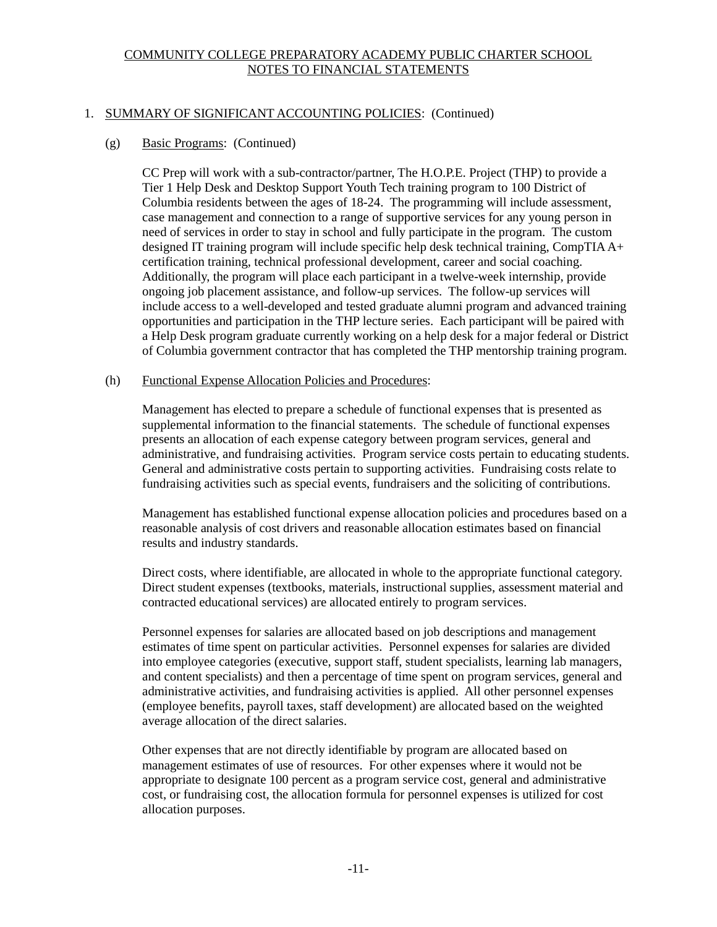### 1. SUMMARY OF SIGNIFICANT ACCOUNTING POLICIES: (Continued)

#### (g) Basic Programs: (Continued)

CC Prep will work with a sub-contractor/partner, The H.O.P.E. Project (THP) to provide a Tier 1 Help Desk and Desktop Support Youth Tech training program to 100 District of Columbia residents between the ages of 18-24. The programming will include assessment, case management and connection to a range of supportive services for any young person in need of services in order to stay in school and fully participate in the program. The custom designed IT training program will include specific help desk technical training, CompTIA A+ certification training, technical professional development, career and social coaching. Additionally, the program will place each participant in a twelve-week internship, provide ongoing job placement assistance, and follow-up services. The follow-up services will include access to a well-developed and tested graduate alumni program and advanced training opportunities and participation in the THP lecture series. Each participant will be paired with a Help Desk program graduate currently working on a help desk for a major federal or District of Columbia government contractor that has completed the THP mentorship training program.

#### (h) Functional Expense Allocation Policies and Procedures:

Management has elected to prepare a schedule of functional expenses that is presented as supplemental information to the financial statements. The schedule of functional expenses presents an allocation of each expense category between program services, general and administrative, and fundraising activities. Program service costs pertain to educating students. General and administrative costs pertain to supporting activities. Fundraising costs relate to fundraising activities such as special events, fundraisers and the soliciting of contributions.

Management has established functional expense allocation policies and procedures based on a reasonable analysis of cost drivers and reasonable allocation estimates based on financial results and industry standards.

Direct costs, where identifiable, are allocated in whole to the appropriate functional category. Direct student expenses (textbooks, materials, instructional supplies, assessment material and contracted educational services) are allocated entirely to program services.

Personnel expenses for salaries are allocated based on job descriptions and management estimates of time spent on particular activities. Personnel expenses for salaries are divided into employee categories (executive, support staff, student specialists, learning lab managers, and content specialists) and then a percentage of time spent on program services, general and administrative activities, and fundraising activities is applied. All other personnel expenses (employee benefits, payroll taxes, staff development) are allocated based on the weighted average allocation of the direct salaries.

Other expenses that are not directly identifiable by program are allocated based on management estimates of use of resources. For other expenses where it would not be appropriate to designate 100 percent as a program service cost, general and administrative cost, or fundraising cost, the allocation formula for personnel expenses is utilized for cost allocation purposes.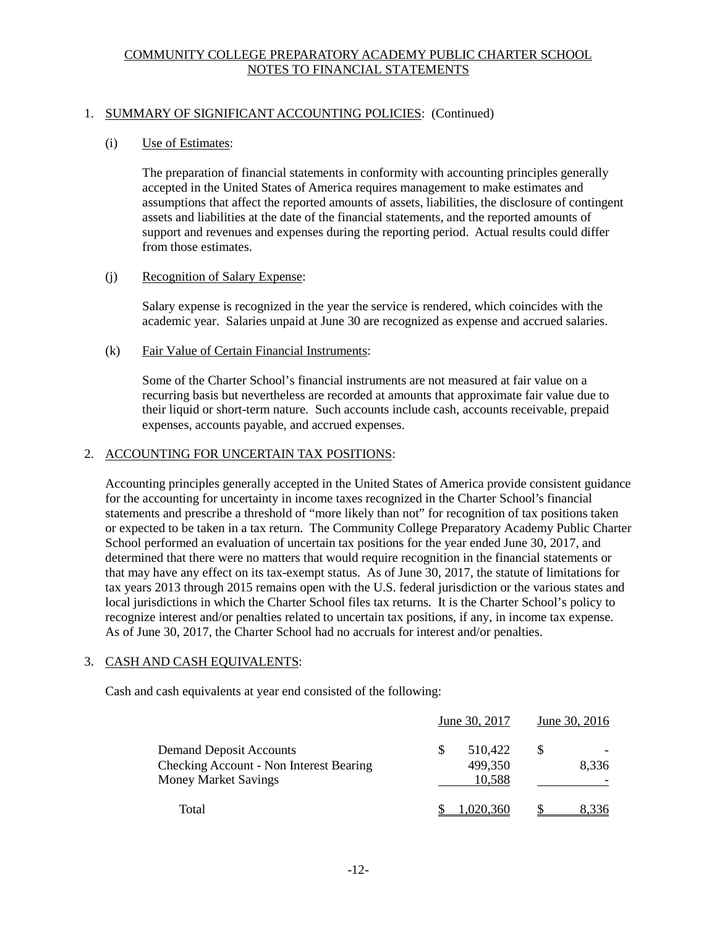### 1. SUMMARY OF SIGNIFICANT ACCOUNTING POLICIES: (Continued)

### (i) Use of Estimates:

The preparation of financial statements in conformity with accounting principles generally accepted in the United States of America requires management to make estimates and assumptions that affect the reported amounts of assets, liabilities, the disclosure of contingent assets and liabilities at the date of the financial statements, and the reported amounts of support and revenues and expenses during the reporting period. Actual results could differ from those estimates.

#### (j) Recognition of Salary Expense:

Salary expense is recognized in the year the service is rendered, which coincides with the academic year. Salaries unpaid at June 30 are recognized as expense and accrued salaries.

### (k) Fair Value of Certain Financial Instruments:

Some of the Charter School's financial instruments are not measured at fair value on a recurring basis but nevertheless are recorded at amounts that approximate fair value due to their liquid or short-term nature. Such accounts include cash, accounts receivable, prepaid expenses, accounts payable, and accrued expenses.

#### 2. ACCOUNTING FOR UNCERTAIN TAX POSITIONS:

Accounting principles generally accepted in the United States of America provide consistent guidance for the accounting for uncertainty in income taxes recognized in the Charter School's financial statements and prescribe a threshold of "more likely than not" for recognition of tax positions taken or expected to be taken in a tax return. The Community College Preparatory Academy Public Charter School performed an evaluation of uncertain tax positions for the year ended June 30, 2017, and determined that there were no matters that would require recognition in the financial statements or that may have any effect on its tax-exempt status. As of June 30, 2017, the statute of limitations for tax years 2013 through 2015 remains open with the U.S. federal jurisdiction or the various states and local jurisdictions in which the Charter School files tax returns. It is the Charter School's policy to recognize interest and/or penalties related to uncertain tax positions, if any, in income tax expense. As of June 30, 2017, the Charter School had no accruals for interest and/or penalties.

#### 3. CASH AND CASH EQUIVALENTS:

Cash and cash equivalents at year end consisted of the following:

|                                                                    |   | June 30, 2017      | June 30, 2016 |       |  |
|--------------------------------------------------------------------|---|--------------------|---------------|-------|--|
| Demand Deposit Accounts<br>Checking Account - Non Interest Bearing | S | 510,422<br>499,350 |               | 8,336 |  |
| <b>Money Market Savings</b>                                        |   | 10,588             |               |       |  |
| Total                                                              |   | 1,020,360          |               | 8.336 |  |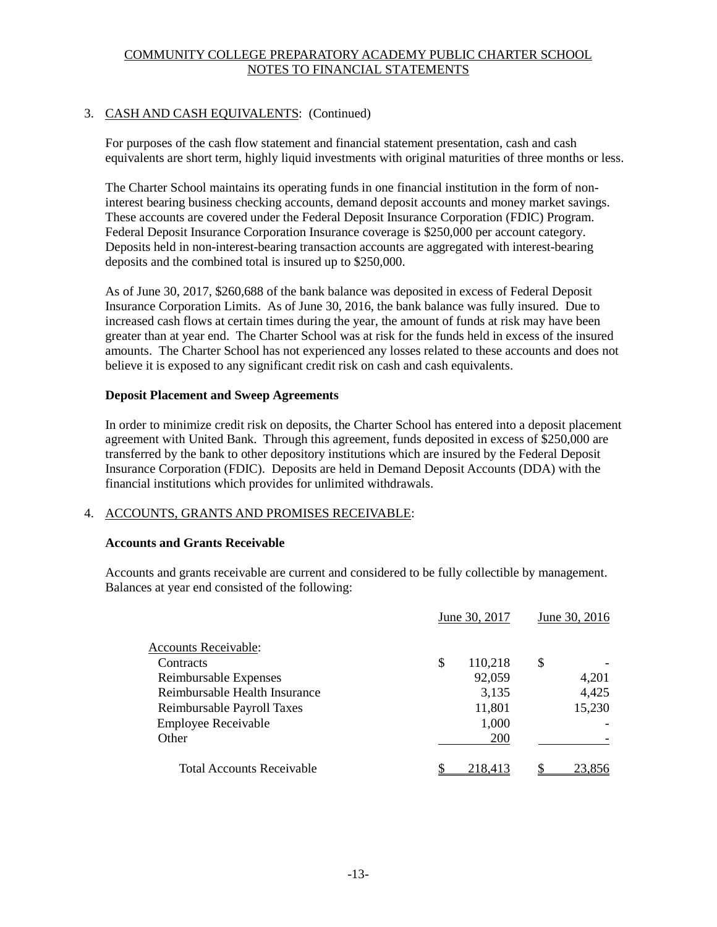### 3. CASH AND CASH EQUIVALENTS: (Continued)

For purposes of the cash flow statement and financial statement presentation, cash and cash equivalents are short term, highly liquid investments with original maturities of three months or less.

The Charter School maintains its operating funds in one financial institution in the form of noninterest bearing business checking accounts, demand deposit accounts and money market savings. These accounts are covered under the Federal Deposit Insurance Corporation (FDIC) Program. Federal Deposit Insurance Corporation Insurance coverage is \$250,000 per account category. Deposits held in non-interest-bearing transaction accounts are aggregated with interest-bearing deposits and the combined total is insured up to \$250,000.

As of June 30, 2017, \$260,688 of the bank balance was deposited in excess of Federal Deposit Insurance Corporation Limits. As of June 30, 2016, the bank balance was fully insured. Due to increased cash flows at certain times during the year, the amount of funds at risk may have been greater than at year end. The Charter School was at risk for the funds held in excess of the insured amounts. The Charter School has not experienced any losses related to these accounts and does not believe it is exposed to any significant credit risk on cash and cash equivalents.

### **Deposit Placement and Sweep Agreements**

In order to minimize credit risk on deposits, the Charter School has entered into a deposit placement agreement with United Bank. Through this agreement, funds deposited in excess of \$250,000 are transferred by the bank to other depository institutions which are insured by the Federal Deposit Insurance Corporation (FDIC). Deposits are held in Demand Deposit Accounts (DDA) with the financial institutions which provides for unlimited withdrawals.

### 4. ACCOUNTS, GRANTS AND PROMISES RECEIVABLE:

#### **Accounts and Grants Receivable**

Accounts and grants receivable are current and considered to be fully collectible by management. Balances at year end consisted of the following:

|                                  | June 30, 2017 |         |    | June 30, 2016 |
|----------------------------------|---------------|---------|----|---------------|
| Accounts Receivable:             |               |         |    |               |
| Contracts                        | \$            | 110,218 | \$ |               |
| Reimbursable Expenses            |               | 92,059  |    | 4,201         |
| Reimbursable Health Insurance    |               | 3,135   |    | 4,425         |
| Reimbursable Payroll Taxes       |               | 11,801  |    | 15,230        |
| <b>Employee Receivable</b>       |               | 1,000   |    |               |
| Other                            |               | 200     |    |               |
| <b>Total Accounts Receivable</b> |               | 218.413 |    | 23.856        |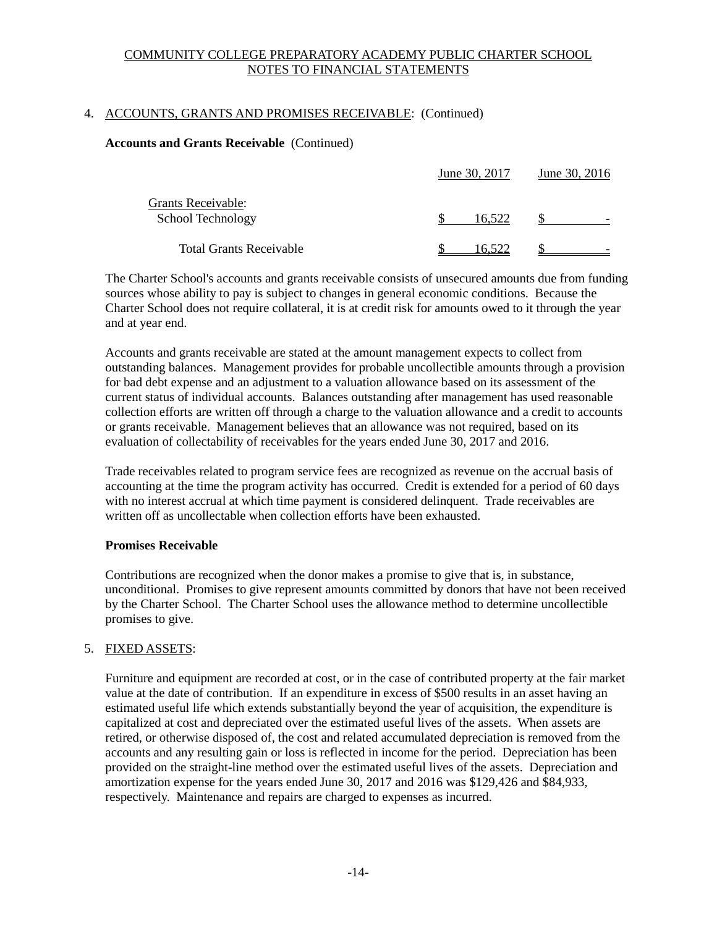### 4. ACCOUNTS, GRANTS AND PROMISES RECEIVABLE: (Continued)

#### **Accounts and Grants Receivable** (Continued)

|                                         | June 30, 2017 | June 30, 2016 |
|-----------------------------------------|---------------|---------------|
| Grants Receivable:<br>School Technology | 16.522        | -             |
| <b>Total Grants Receivable</b>          | 16,522        |               |

The Charter School's accounts and grants receivable consists of unsecured amounts due from funding sources whose ability to pay is subject to changes in general economic conditions. Because the Charter School does not require collateral, it is at credit risk for amounts owed to it through the year and at year end.

Accounts and grants receivable are stated at the amount management expects to collect from outstanding balances. Management provides for probable uncollectible amounts through a provision for bad debt expense and an adjustment to a valuation allowance based on its assessment of the current status of individual accounts. Balances outstanding after management has used reasonable collection efforts are written off through a charge to the valuation allowance and a credit to accounts or grants receivable. Management believes that an allowance was not required, based on its evaluation of collectability of receivables for the years ended June 30, 2017 and 2016.

Trade receivables related to program service fees are recognized as revenue on the accrual basis of accounting at the time the program activity has occurred. Credit is extended for a period of 60 days with no interest accrual at which time payment is considered delinquent. Trade receivables are written off as uncollectable when collection efforts have been exhausted.

#### **Promises Receivable**

Contributions are recognized when the donor makes a promise to give that is, in substance, unconditional. Promises to give represent amounts committed by donors that have not been received by the Charter School. The Charter School uses the allowance method to determine uncollectible promises to give.

### 5. FIXED ASSETS:

Furniture and equipment are recorded at cost, or in the case of contributed property at the fair market value at the date of contribution. If an expenditure in excess of \$500 results in an asset having an estimated useful life which extends substantially beyond the year of acquisition, the expenditure is capitalized at cost and depreciated over the estimated useful lives of the assets. When assets are retired, or otherwise disposed of, the cost and related accumulated depreciation is removed from the accounts and any resulting gain or loss is reflected in income for the period. Depreciation has been provided on the straight-line method over the estimated useful lives of the assets. Depreciation and amortization expense for the years ended June 30, 2017 and 2016 was \$129,426 and \$84,933, respectively. Maintenance and repairs are charged to expenses as incurred.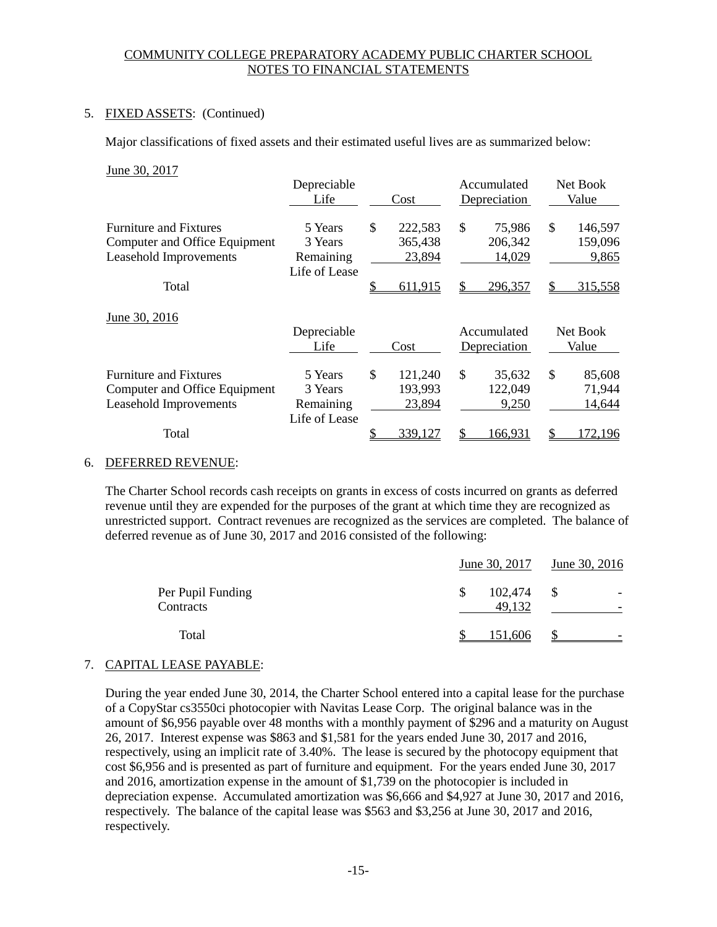### 5. FIXED ASSETS: (Continued)

Major classifications of fixed assets and their estimated useful lives are as summarized below:

#### June 30, 2017

|                               | Depreciable<br>Accumulated<br>Depreciation |    |         |              |              |    | Net Book<br>Value |
|-------------------------------|--------------------------------------------|----|---------|--------------|--------------|----|-------------------|
|                               | Life                                       |    | Cost    |              |              |    |                   |
| <b>Furniture and Fixtures</b> | 5 Years                                    | \$ | 222,583 | $\mathbb{S}$ | 75,986       | \$ | 146,597           |
| Computer and Office Equipment | 3 Years                                    |    | 365,438 |              | 206,342      |    | 159,096           |
| Leasehold Improvements        | Remaining                                  |    | 23,894  |              | 14,029       |    | 9,865             |
|                               | Life of Lease                              |    |         |              |              |    |                   |
| Total                         |                                            |    | 611,915 | \$.          | 296,357      | S  | 315,558           |
| June 30, 2016                 |                                            |    |         |              |              |    |                   |
|                               | Depreciable                                |    |         |              | Accumulated  |    | Net Book          |
|                               | Life                                       |    | Cost    |              | Depreciation |    | Value             |
| <b>Furniture and Fixtures</b> | 5 Years                                    | \$ | 121,240 | \$           | 35,632       | \$ | 85,608            |
| Computer and Office Equipment | 3 Years                                    |    | 193,993 |              | 122,049      |    | 71,944            |
| Leasehold Improvements        | Remaining                                  |    | 23,894  |              | 9,250        |    | 14,644            |
|                               |                                            |    |         |              |              |    |                   |
|                               | Life of Lease                              |    |         |              |              |    |                   |

#### 6. DEFERRED REVENUE:

The Charter School records cash receipts on grants in excess of costs incurred on grants as deferred revenue until they are expended for the purposes of the grant at which time they are recognized as unrestricted support. Contract revenues are recognized as the services are completed. The balance of deferred revenue as of June 30, 2017 and 2016 consisted of the following:

|                                | June 30, 2017     |     |   |
|--------------------------------|-------------------|-----|---|
| Per Pupil Funding<br>Contracts | 102,474<br>49,132 | - S | - |
| Total                          | 151.606           |     |   |

#### 7. CAPITAL LEASE PAYABLE:

During the year ended June 30, 2014, the Charter School entered into a capital lease for the purchase of a CopyStar cs3550ci photocopier with Navitas Lease Corp. The original balance was in the amount of \$6,956 payable over 48 months with a monthly payment of \$296 and a maturity on August 26, 2017. Interest expense was \$863 and \$1,581 for the years ended June 30, 2017 and 2016, respectively, using an implicit rate of 3.40%. The lease is secured by the photocopy equipment that cost \$6,956 and is presented as part of furniture and equipment. For the years ended June 30, 2017 and 2016, amortization expense in the amount of \$1,739 on the photocopier is included in depreciation expense. Accumulated amortization was \$6,666 and \$4,927 at June 30, 2017 and 2016, respectively. The balance of the capital lease was \$563 and \$3,256 at June 30, 2017 and 2016, respectively.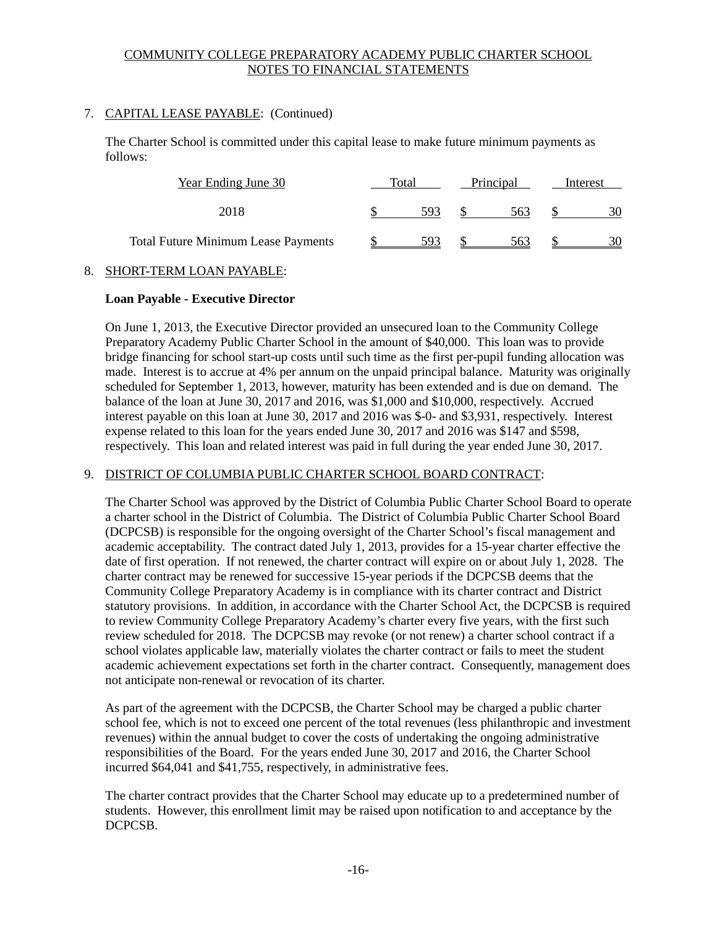### 7. CAPITAL LEASE PAYABLE: (Continued)

The Charter School is committed under this capital lease to make future minimum payments as follows:

| Year Ending June 30                        | Total |     | Principal | Interest |
|--------------------------------------------|-------|-----|-----------|----------|
| 2018                                       |       | 593 | 563       | 30       |
| <b>Total Future Minimum Lease Payments</b> |       | 593 | 563       |          |

### 8. SHORT-TERM LOAN PAYABLE:

### **Loan Payable - Executive Director**

On June 1, 2013, the Executive Director provided an unsecured loan to the Community College Preparatory Academy Public Charter School in the amount of \$40,000. This loan was to provide bridge financing for school start-up costs until such time as the first per-pupil funding allocation was made. Interest is to accrue at 4% per annum on the unpaid principal balance. Maturity was originally scheduled for September 1, 2013, however, maturity has been extended and is due on demand. The balance of the loan at June 30, 2017 and 2016, was \$1,000 and \$10,000, respectively. Accrued interest payable on this loan at June 30, 2017 and 2016 was \$-0- and \$3,931, respectively. Interest expense related to this loan for the years ended June 30, 2017 and 2016 was \$147 and \$598, respectively. This loan and related interest was paid in full during the year ended June 30, 2017.

### 9. DISTRICT OF COLUMBIA PUBLIC CHARTER SCHOOL BOARD CONTRACT:

The Charter School was approved by the District of Columbia Public Charter School Board to operate a charter school in the District of Columbia. The District of Columbia Public Charter School Board (DCPCSB) is responsible for the ongoing oversight of the Charter School's fiscal management and academic acceptability. The contract dated July 1, 2013, provides for a 15-year charter effective the date of first operation. If not renewed, the charter contract will expire on or about July 1, 2028. The charter contract may be renewed for successive 15-year periods if the DCPCSB deems that the Community College Preparatory Academy is in compliance with its charter contract and District statutory provisions. In addition, in accordance with the Charter School Act, the DCPCSB is required to review Community College Preparatory Academy's charter every five years, with the first such review scheduled for 2018. The DCPCSB may revoke (or not renew) a charter school contract if a school violates applicable law, materially violates the charter contract or fails to meet the student academic achievement expectations set forth in the charter contract. Consequently, management does not anticipate non-renewal or revocation of its charter.

As part of the agreement with the DCPCSB, the Charter School may be charged a public charter school fee, which is not to exceed one percent of the total revenues (less philanthropic and investment revenues) within the annual budget to cover the costs of undertaking the ongoing administrative responsibilities of the Board. For the years ended June 30, 2017 and 2016, the Charter School incurred \$64,041 and \$41,755, respectively, in administrative fees.

The charter contract provides that the Charter School may educate up to a predetermined number of students. However, this enrollment limit may be raised upon notification to and acceptance by the DCPCSB.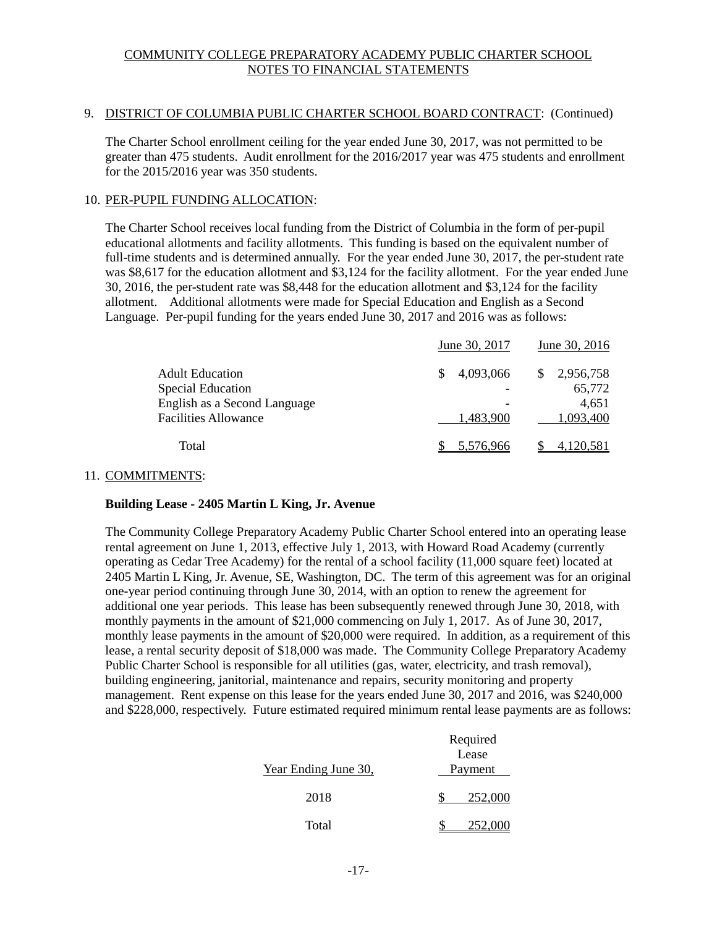### 9. DISTRICT OF COLUMBIA PUBLIC CHARTER SCHOOL BOARD CONTRACT: (Continued)

The Charter School enrollment ceiling for the year ended June 30, 2017, was not permitted to be greater than 475 students. Audit enrollment for the 2016/2017 year was 475 students and enrollment for the 2015/2016 year was 350 students.

#### 10. PER-PUPIL FUNDING ALLOCATION:

The Charter School receives local funding from the District of Columbia in the form of per-pupil educational allotments and facility allotments. This funding is based on the equivalent number of full-time students and is determined annually. For the year ended June 30, 2017, the per-student rate was \$8,617 for the education allotment and \$3,124 for the facility allotment. For the year ended June 30, 2016, the per-student rate was \$8,448 for the education allotment and \$3,124 for the facility allotment. Additional allotments were made for Special Education and English as a Second Language. Per-pupil funding for the years ended June 30, 2017 and 2016 was as follows:

|                              | June 30, 2017 | June 30, 2016    |
|------------------------------|---------------|------------------|
| <b>Adult Education</b>       | 4,093,066     | 2,956,758<br>\$. |
| <b>Special Education</b>     |               | 65,772           |
| English as a Second Language |               | 4.651            |
| <b>Facilities Allowance</b>  | 1.483.900     | 1,093,400        |
| Total                        | 5,576,966     | 4,120,581        |

#### 11. COMMITMENTS:

#### **Building Lease - 2405 Martin L King, Jr. Avenue**

The Community College Preparatory Academy Public Charter School entered into an operating lease rental agreement on June 1, 2013, effective July 1, 2013, with Howard Road Academy (currently operating as Cedar Tree Academy) for the rental of a school facility (11,000 square feet) located at 2405 Martin L King, Jr. Avenue, SE, Washington, DC. The term of this agreement was for an original one-year period continuing through June 30, 2014, with an option to renew the agreement for additional one year periods. This lease has been subsequently renewed through June 30, 2018, with monthly payments in the amount of \$21,000 commencing on July 1, 2017. As of June 30, 2017, monthly lease payments in the amount of \$20,000 were required. In addition, as a requirement of this lease, a rental security deposit of \$18,000 was made. The Community College Preparatory Academy Public Charter School is responsible for all utilities (gas, water, electricity, and trash removal), building engineering, janitorial, maintenance and repairs, security monitoring and property management. Rent expense on this lease for the years ended June 30, 2017 and 2016, was \$240,000 and \$228,000, respectively. Future estimated required minimum rental lease payments are as follows:

| Year Ending June 30, | Required<br>Lease<br>Payment |  |  |
|----------------------|------------------------------|--|--|
| 2018                 | 252,000                      |  |  |
| Total                |                              |  |  |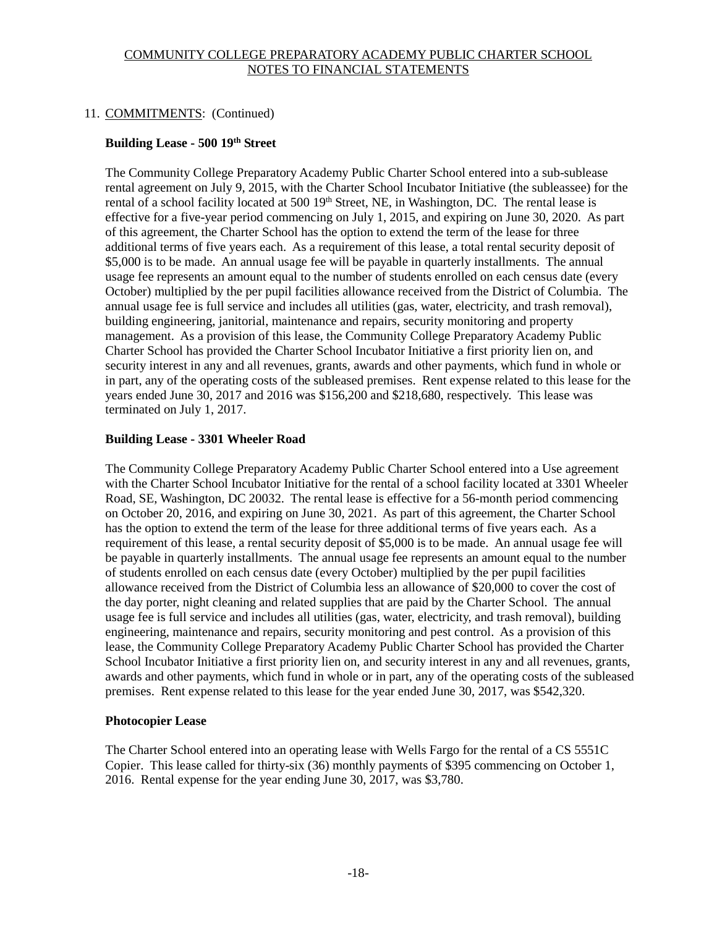### 11. COMMITMENTS: (Continued)

#### **Building Lease - 500 19th Street**

The Community College Preparatory Academy Public Charter School entered into a sub-sublease rental agreement on July 9, 2015, with the Charter School Incubator Initiative (the subleassee) for the rental of a school facility located at 500 19<sup>th</sup> Street, NE, in Washington, DC. The rental lease is effective for a five-year period commencing on July 1, 2015, and expiring on June 30, 2020. As part of this agreement, the Charter School has the option to extend the term of the lease for three additional terms of five years each. As a requirement of this lease, a total rental security deposit of \$5,000 is to be made. An annual usage fee will be payable in quarterly installments. The annual usage fee represents an amount equal to the number of students enrolled on each census date (every October) multiplied by the per pupil facilities allowance received from the District of Columbia. The annual usage fee is full service and includes all utilities (gas, water, electricity, and trash removal), building engineering, janitorial, maintenance and repairs, security monitoring and property management. As a provision of this lease, the Community College Preparatory Academy Public Charter School has provided the Charter School Incubator Initiative a first priority lien on, and security interest in any and all revenues, grants, awards and other payments, which fund in whole or in part, any of the operating costs of the subleased premises. Rent expense related to this lease for the years ended June 30, 2017 and 2016 was \$156,200 and \$218,680, respectively. This lease was terminated on July 1, 2017.

#### **Building Lease - 3301 Wheeler Road**

The Community College Preparatory Academy Public Charter School entered into a Use agreement with the Charter School Incubator Initiative for the rental of a school facility located at 3301 Wheeler Road, SE, Washington, DC 20032. The rental lease is effective for a 56-month period commencing on October 20, 2016, and expiring on June 30, 2021. As part of this agreement, the Charter School has the option to extend the term of the lease for three additional terms of five years each. As a requirement of this lease, a rental security deposit of \$5,000 is to be made. An annual usage fee will be payable in quarterly installments. The annual usage fee represents an amount equal to the number of students enrolled on each census date (every October) multiplied by the per pupil facilities allowance received from the District of Columbia less an allowance of \$20,000 to cover the cost of the day porter, night cleaning and related supplies that are paid by the Charter School. The annual usage fee is full service and includes all utilities (gas, water, electricity, and trash removal), building engineering, maintenance and repairs, security monitoring and pest control. As a provision of this lease, the Community College Preparatory Academy Public Charter School has provided the Charter School Incubator Initiative a first priority lien on, and security interest in any and all revenues, grants, awards and other payments, which fund in whole or in part, any of the operating costs of the subleased premises. Rent expense related to this lease for the year ended June 30, 2017, was \$542,320.

### **Photocopier Lease**

The Charter School entered into an operating lease with Wells Fargo for the rental of a CS 5551C Copier. This lease called for thirty-six (36) monthly payments of \$395 commencing on October 1, 2016. Rental expense for the year ending June 30, 2017, was \$3,780.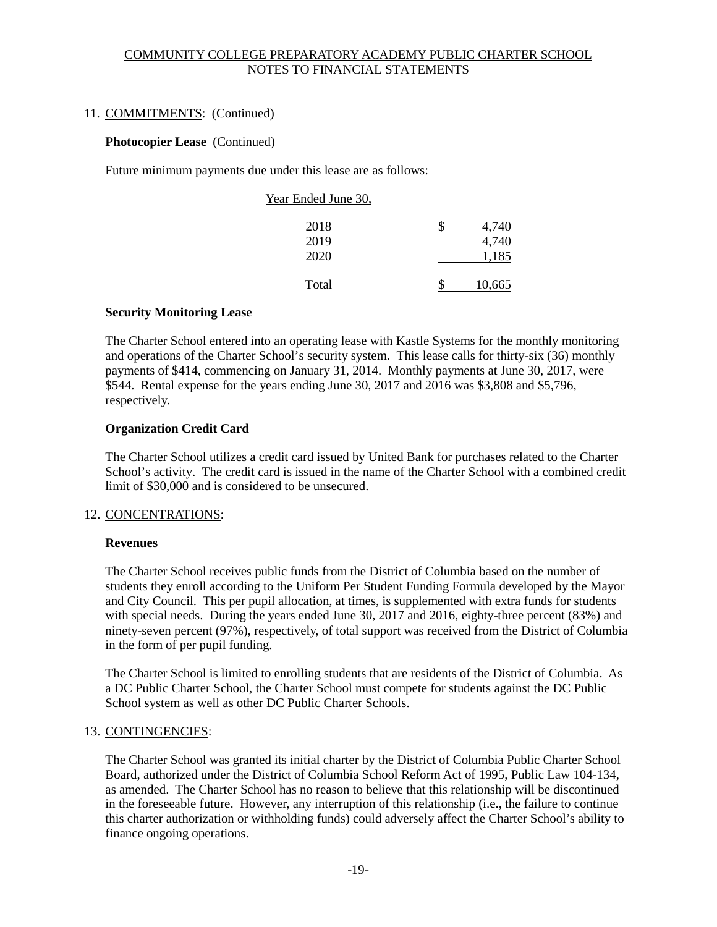### 11. COMMITMENTS: (Continued)

### **Photocopier Lease** (Continued)

Future minimum payments due under this lease are as follows:

| Year Ended June 30, |   |        |
|---------------------|---|--------|
| 2018                | S | 4,740  |
| 2019                |   | 4,740  |
| 2020                |   | 1,185  |
| Total               |   | 10.665 |

### **Security Monitoring Lease**

The Charter School entered into an operating lease with Kastle Systems for the monthly monitoring and operations of the Charter School's security system. This lease calls for thirty-six (36) monthly payments of \$414, commencing on January 31, 2014. Monthly payments at June 30, 2017, were \$544. Rental expense for the years ending June 30, 2017 and 2016 was \$3,808 and \$5,796, respectively.

### **Organization Credit Card**

The Charter School utilizes a credit card issued by United Bank for purchases related to the Charter School's activity. The credit card is issued in the name of the Charter School with a combined credit limit of \$30,000 and is considered to be unsecured.

#### 12. CONCENTRATIONS:

#### **Revenues**

The Charter School receives public funds from the District of Columbia based on the number of students they enroll according to the Uniform Per Student Funding Formula developed by the Mayor and City Council. This per pupil allocation, at times, is supplemented with extra funds for students with special needs. During the years ended June 30, 2017 and 2016, eighty-three percent (83%) and ninety-seven percent (97%), respectively, of total support was received from the District of Columbia in the form of per pupil funding.

The Charter School is limited to enrolling students that are residents of the District of Columbia. As a DC Public Charter School, the Charter School must compete for students against the DC Public School system as well as other DC Public Charter Schools.

#### 13. CONTINGENCIES:

The Charter School was granted its initial charter by the District of Columbia Public Charter School Board, authorized under the District of Columbia School Reform Act of 1995, Public Law 104-134, as amended. The Charter School has no reason to believe that this relationship will be discontinued in the foreseeable future. However, any interruption of this relationship (i.e., the failure to continue this charter authorization or withholding funds) could adversely affect the Charter School's ability to finance ongoing operations.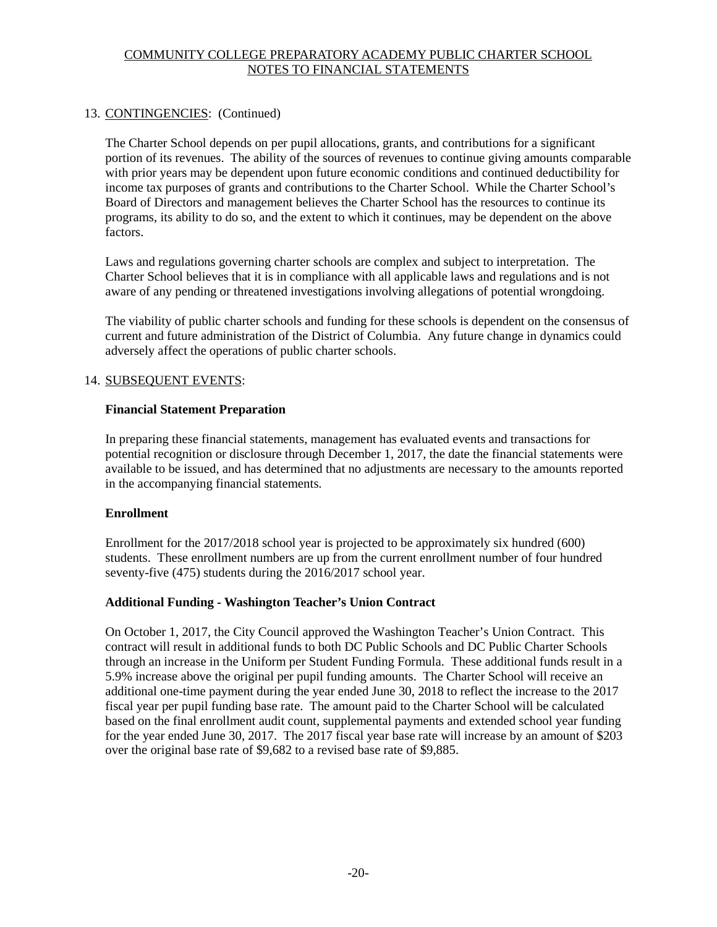### 13. CONTINGENCIES: (Continued)

The Charter School depends on per pupil allocations, grants, and contributions for a significant portion of its revenues. The ability of the sources of revenues to continue giving amounts comparable with prior years may be dependent upon future economic conditions and continued deductibility for income tax purposes of grants and contributions to the Charter School. While the Charter School's Board of Directors and management believes the Charter School has the resources to continue its programs, its ability to do so, and the extent to which it continues, may be dependent on the above factors.

Laws and regulations governing charter schools are complex and subject to interpretation. The Charter School believes that it is in compliance with all applicable laws and regulations and is not aware of any pending or threatened investigations involving allegations of potential wrongdoing.

The viability of public charter schools and funding for these schools is dependent on the consensus of current and future administration of the District of Columbia. Any future change in dynamics could adversely affect the operations of public charter schools.

### 14. SUBSEQUENT EVENTS:

#### **Financial Statement Preparation**

In preparing these financial statements, management has evaluated events and transactions for potential recognition or disclosure through December 1, 2017, the date the financial statements were available to be issued, and has determined that no adjustments are necessary to the amounts reported in the accompanying financial statements.

#### **Enrollment**

Enrollment for the 2017/2018 school year is projected to be approximately six hundred (600) students. These enrollment numbers are up from the current enrollment number of four hundred seventy-five (475) students during the 2016/2017 school year.

### **Additional Funding - Washington Teacher's Union Contract**

On October 1, 2017, the City Council approved the Washington Teacher's Union Contract. This contract will result in additional funds to both DC Public Schools and DC Public Charter Schools through an increase in the Uniform per Student Funding Formula. These additional funds result in a 5.9% increase above the original per pupil funding amounts. The Charter School will receive an additional one-time payment during the year ended June 30, 2018 to reflect the increase to the 2017 fiscal year per pupil funding base rate. The amount paid to the Charter School will be calculated based on the final enrollment audit count, supplemental payments and extended school year funding for the year ended June 30, 2017. The 2017 fiscal year base rate will increase by an amount of \$203 over the original base rate of \$9,682 to a revised base rate of \$9,885.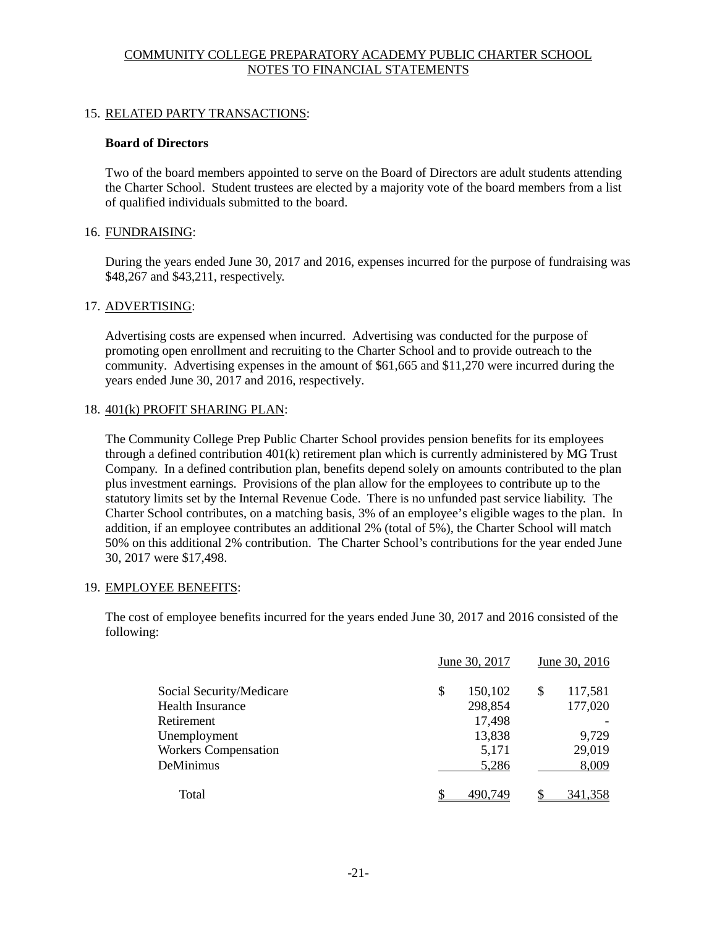#### 15. RELATED PARTY TRANSACTIONS:

#### **Board of Directors**

Two of the board members appointed to serve on the Board of Directors are adult students attending the Charter School. Student trustees are elected by a majority vote of the board members from a list of qualified individuals submitted to the board.

#### 16. FUNDRAISING:

During the years ended June 30, 2017 and 2016, expenses incurred for the purpose of fundraising was \$48,267 and \$43,211, respectively.

#### 17. ADVERTISING:

Advertising costs are expensed when incurred. Advertising was conducted for the purpose of promoting open enrollment and recruiting to the Charter School and to provide outreach to the community. Advertising expenses in the amount of \$61,665 and \$11,270 were incurred during the years ended June 30, 2017 and 2016, respectively.

#### 18. 401(k) PROFIT SHARING PLAN:

The Community College Prep Public Charter School provides pension benefits for its employees through a defined contribution 401(k) retirement plan which is currently administered by MG Trust Company. In a defined contribution plan, benefits depend solely on amounts contributed to the plan plus investment earnings. Provisions of the plan allow for the employees to contribute up to the statutory limits set by the Internal Revenue Code. There is no unfunded past service liability. The Charter School contributes, on a matching basis, 3% of an employee's eligible wages to the plan. In addition, if an employee contributes an additional 2% (total of 5%), the Charter School will match 50% on this additional 2% contribution. The Charter School's contributions for the year ended June 30, 2017 were \$17,498.

#### 19. EMPLOYEE BENEFITS:

The cost of employee benefits incurred for the years ended June 30, 2017 and 2016 consisted of the following:

|                             | June 30, 2017 | June 30, 2016 |  |  |
|-----------------------------|---------------|---------------|--|--|
| Social Security/Medicare    | \$<br>150,102 | \$<br>117,581 |  |  |
| <b>Health Insurance</b>     | 298,854       | 177,020       |  |  |
| Retirement                  | 17,498        |               |  |  |
| Unemployment                | 13,838        | 9,729         |  |  |
| <b>Workers Compensation</b> | 5,171         | 29,019        |  |  |
| DeMinimus                   | 5,286         | 8,009         |  |  |
| Total                       | ፍ<br>490.749  | 341,358       |  |  |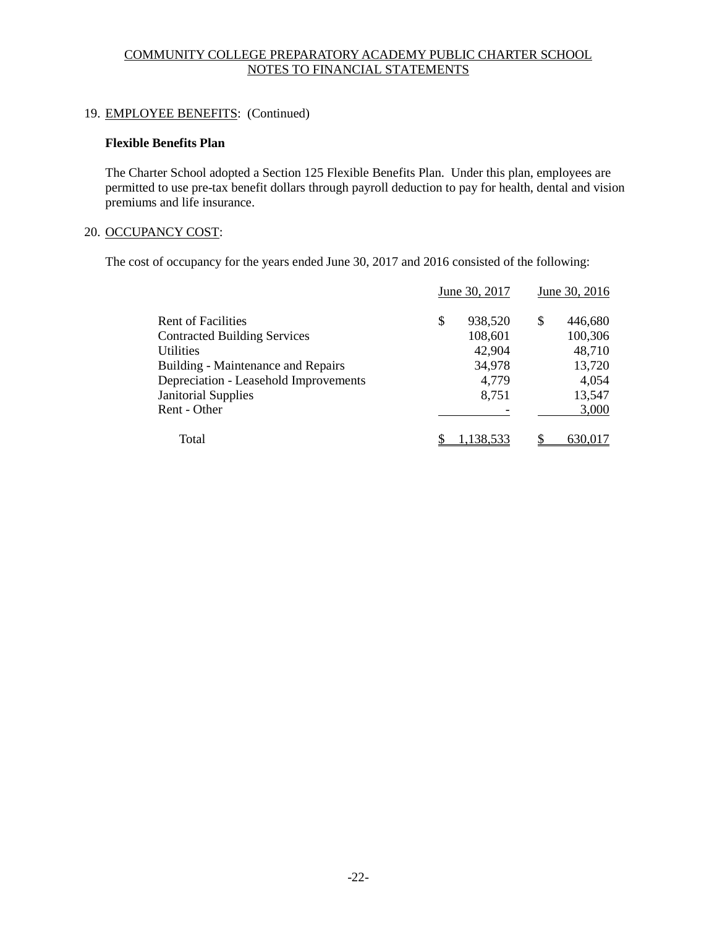#### 19. EMPLOYEE BENEFITS: (Continued)

### **Flexible Benefits Plan**

The Charter School adopted a Section 125 Flexible Benefits Plan. Under this plan, employees are permitted to use pre-tax benefit dollars through payroll deduction to pay for health, dental and vision premiums and life insurance.

#### 20. OCCUPANCY COST:

The cost of occupancy for the years ended June 30, 2017 and 2016 consisted of the following:

|                                       | June 30, 2017 | June 30, 2016 |         |  |
|---------------------------------------|---------------|---------------|---------|--|
| <b>Rent of Facilities</b>             | \$<br>938,520 | \$            | 446,680 |  |
| <b>Contracted Building Services</b>   | 108,601       |               | 100,306 |  |
| Utilities                             | 42,904        |               | 48,710  |  |
| Building - Maintenance and Repairs    | 34,978        |               | 13,720  |  |
| Depreciation - Leasehold Improvements | 4,779         |               | 4,054   |  |
| <b>Janitorial Supplies</b>            | 8,751         |               | 13,547  |  |
| Rent - Other                          |               |               | 3,000   |  |
| Total                                 | .138.533      |               | 630,01  |  |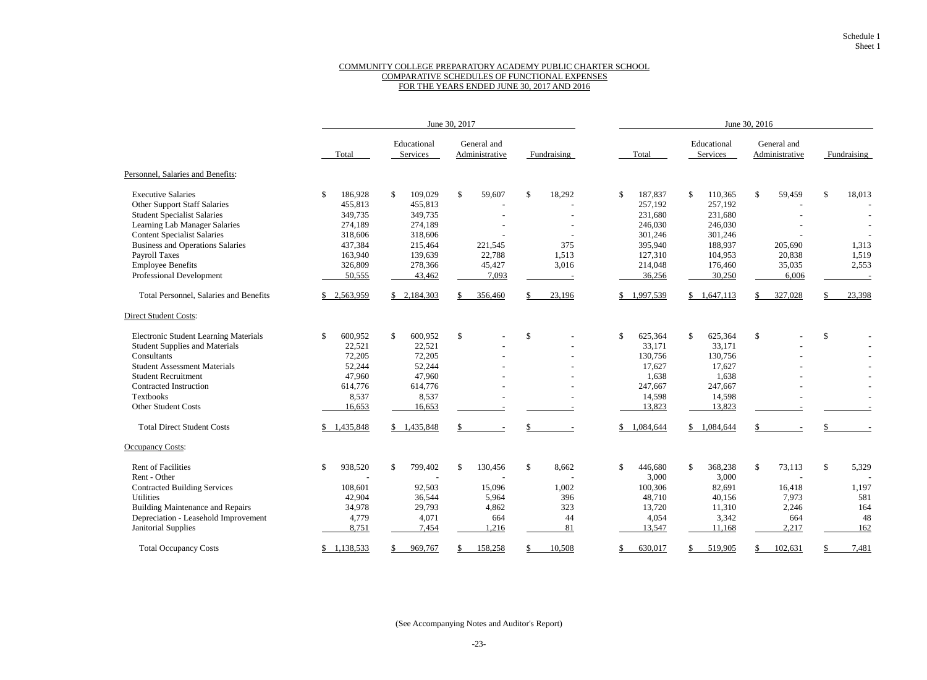#### COMMUNITY COLLEGE PREPARATORY ACADEMY PUBLIC CHARTER SCHOOL COMPARATIVE SCHEDULES OF FUNCTIONAL EXPENSES FOR THE YEARS ENDED JUNE 30, 2017 AND 2016

|                                              | June 30, 2017 |                                |                               |                         |                          | June 30, 2016            |                               |                        |
|----------------------------------------------|---------------|--------------------------------|-------------------------------|-------------------------|--------------------------|--------------------------|-------------------------------|------------------------|
|                                              | Total         | Educational<br><b>Services</b> | General and<br>Administrative | Fundraising             | Total                    | Educational<br>Services  | General and<br>Administrative | Fundraising            |
| Personnel, Salaries and Benefits:            |               |                                |                               |                         |                          |                          |                               |                        |
| <b>Executive Salaries</b>                    | \$<br>186,928 | 109,029<br>$\mathbb{S}$        | $\mathbb{S}$<br>59,607        | 18,292<br><sup>\$</sup> | $\mathcal{S}$<br>187,837 | $\mathcal{S}$<br>110,365 | $\mathbb{S}$<br>59,459        | $\mathbb{S}$<br>18,013 |
| <b>Other Support Staff Salaries</b>          | 455,813       | 455,813                        |                               |                         | 257,192                  | 257,192                  | $\sim$                        | $\sim$                 |
| <b>Student Specialist Salaries</b>           | 349,735       | 349,735                        |                               |                         | 231,680                  | 231,680                  |                               |                        |
| Learning Lab Manager Salaries                | 274,189       | 274,189                        |                               |                         | 246,030                  | 246,030                  |                               |                        |
| <b>Content Specialist Salaries</b>           | 318,606       | 318,606                        |                               |                         | 301,246                  | 301,246                  |                               |                        |
| <b>Business and Operations Salaries</b>      | 437,384       | 215,464                        | 221,545                       | 375                     | 395,940                  | 188,937                  | 205,690                       | 1,313                  |
| Payroll Taxes                                | 163,940       | 139,639                        | 22,788                        | 1,513                   | 127,310                  | 104,953                  | 20,838                        | 1,519                  |
| <b>Employee Benefits</b>                     | 326,809       | 278,366                        | 45,427                        | 3,016                   | 214,048                  | 176,460                  | 35,035                        | 2,553                  |
| Professional Development                     | 50,555        | 43,462                         | 7,093                         |                         | 36,256                   | 30,250                   | 6,006                         |                        |
| Total Personnel, Salaries and Benefits       | 2,563,959     | \$2,184,303                    | 356,460                       | 23,196                  | 1,997,539                | \$1,647,113              | 327,028                       | 23,398                 |
| <b>Direct Student Costs:</b>                 |               |                                |                               |                         |                          |                          |                               |                        |
| <b>Electronic Student Learning Materials</b> | 600,952<br>\$ | $\mathbb{S}$<br>600,952        | \$                            | $\mathcal{S}$           | $\mathbb{S}$<br>625,364  | $\mathbb{S}$<br>625,364  | $\mathcal{S}$                 | \$                     |
| <b>Student Supplies and Materials</b>        | 22,521        | 22,521                         |                               |                         | 33,171                   | 33,171                   |                               |                        |
| Consultants                                  | 72,205        | 72,205                         |                               |                         | 130,756                  | 130,756                  |                               |                        |
| <b>Student Assessment Materials</b>          | 52,244        | 52,244                         |                               |                         | 17,627                   | 17,627                   |                               |                        |
| <b>Student Recruitment</b>                   | 47,960        | 47,960                         |                               |                         | 1,638                    | 1,638                    |                               |                        |
| Contracted Instruction                       | 614,776       | 614,776                        |                               |                         | 247,667                  | 247,667                  |                               |                        |
| Textbooks                                    | 8,537         | 8,537                          |                               |                         | 14,598                   | 14,598                   |                               |                        |
| Other Student Costs                          | 16,653        | 16,653                         |                               |                         | 13,823                   | 13,823                   |                               |                        |
| <b>Total Direct Student Costs</b>            | 1,435,848     | \$1,435,848                    |                               |                         | 1,084,644                | 1,084,644                |                               |                        |
| Occupancy Costs:                             |               |                                |                               |                         |                          |                          |                               |                        |
| <b>Rent of Facilities</b>                    | 938,520<br>\$ | 799,402<br>\$                  | \$<br>130,456                 | $\sqrt$<br>8,662        | $\mathcal{S}$<br>446,680 | \$<br>368,238            | \$<br>73,113                  | \$<br>5,329            |
| Rent - Other                                 |               |                                |                               |                         | 3,000                    | 3,000                    |                               |                        |
| <b>Contracted Building Services</b>          | 108,601       | 92,503                         | 15,096                        | 1,002                   | 100,306                  | 82,691                   | 16,418                        | 1,197                  |
| <b>Utilities</b>                             | 42,904        | 36,544                         | 5,964                         | 396                     | 48,710                   | 40,156                   | 7,973                         | 581                    |
| <b>Building Maintenance and Repairs</b>      | 34,978        | 29,793                         | 4,862                         | 323                     | 13,720                   | 11,310                   | 2,246                         | 164                    |
| Depreciation - Leasehold Improvement         | 4,779         | 4,071                          | 664                           | 44                      | 4,054                    | 3,342                    | 664                           | 48                     |
| Janitorial Supplies                          | 8,751         | 7,454                          | 1,216                         | 81                      | 13,547                   | 11,168                   | 2,217                         | 162                    |
| <b>Total Occupancy Costs</b>                 | 1,138,533     | 969,767                        | 158,258                       | 10,508                  | 630,017                  | 519,905                  | 102,631                       | 7,481                  |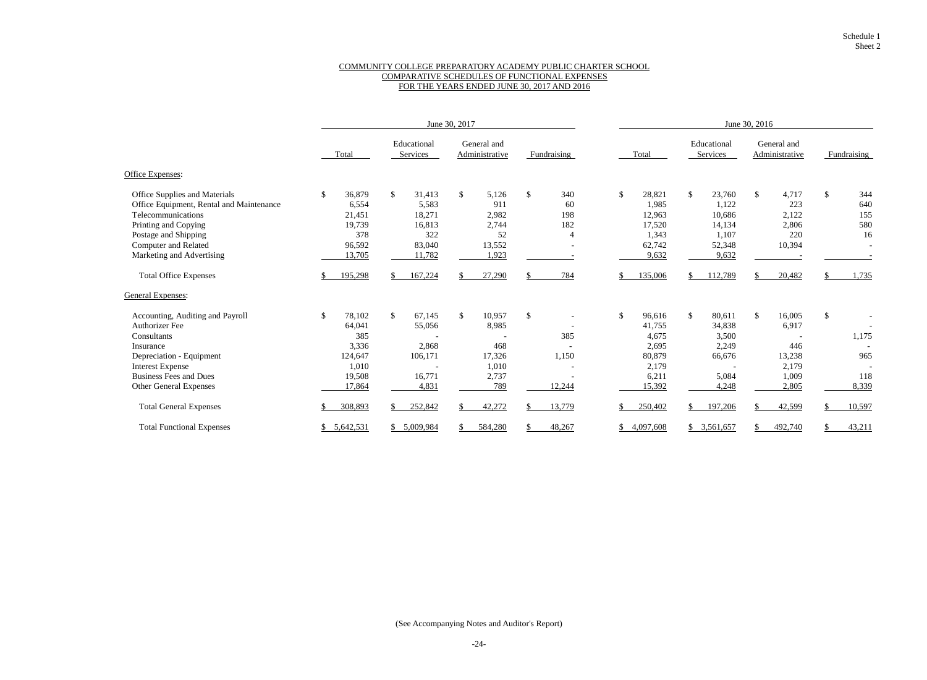#### COMMUNITY COLLEGE PREPARATORY ACADEMY PUBLIC CHARTER SCHOOL COMPARATIVE SCHEDULES OF FUNCTIONAL EXPENSES FOR THE YEARS ENDED JUNE 30, 2017 AND 2016

|                                          | June 30, 2017 |                         |                                      |              |                        | June 30, 2016           |                               |             |
|------------------------------------------|---------------|-------------------------|--------------------------------------|--------------|------------------------|-------------------------|-------------------------------|-------------|
|                                          | Total         | Educational<br>Services | General and<br><b>Administrative</b> | Fundraising  | Total                  | Educational<br>Services | General and<br>Administrative | Fundraising |
| Office Expenses:                         |               |                         |                                      |              |                        |                         |                               |             |
| Office Supplies and Materials            | 36,879        | 31,413<br><sup>\$</sup> | \$<br>5,126                          | \$<br>340    | \$<br>28,821           | $\mathbb{S}$<br>23,760  | \$<br>4,717                   | \$<br>344   |
| Office Equipment, Rental and Maintenance | 6,554         | 5,583                   | 911                                  | 60           | 1,985                  | 1,122                   | 223                           | 640         |
| Telecommunications                       | 21,451        | 18,271                  | 2,982                                | 198          | 12,963                 | 10,686                  | 2,122                         | 155         |
| Printing and Copying                     | 19,739        | 16,813                  | 2,744                                | 182          | 17,520                 | 14,134                  | 2,806                         | 580         |
| Postage and Shipping                     | 378           | 322                     | 52                                   |              | 1,343                  | 1,107                   | 220                           | 16          |
| Computer and Related                     | 96,592        | 83,040                  | 13,552                               |              | 62,742                 | 52,348                  | 10,394                        |             |
| Marketing and Advertising                | 13,705        | 11,782                  | 1,923                                |              | 9,632                  | 9,632                   |                               |             |
| <b>Total Office Expenses</b>             | 195,298       | 167,224                 | 27,290                               | 784<br>\$    | 135,006                | 112,789<br>\$           | 20,482                        | 1,735       |
| General Expenses:                        |               |                         |                                      |              |                        |                         |                               |             |
| Accounting, Auditing and Payroll         | 78,102        | \$<br>67,145            | \$<br>10,957                         | $\mathbb{S}$ | $\mathbb{S}$<br>96,616 | $\mathbb{S}$<br>80,611  | \$<br>16,005                  | \$          |
| <b>Authorizer</b> Fee                    | 64,041        | 55,056                  | 8,985                                |              | 41,755                 | 34,838                  | 6,917                         |             |
| Consultants                              | 385           |                         |                                      | 385          | 4,675                  | 3,500                   |                               | 1,175       |
| Insurance                                | 3,336         | 2,868                   | 468                                  |              | 2,695                  | 2,249                   | 446                           |             |
| Depreciation - Equipment                 | 124,647       | 106,171                 | 17,326                               | 1,150        | 80,879                 | 66,676                  | 13,238                        | 965         |
| <b>Interest Expense</b>                  | 1,010         |                         | 1,010                                |              | 2,179                  |                         | 2,179                         |             |
| <b>Business Fees and Dues</b>            | 19,508        | 16,771                  | 2,737                                |              | 6,211                  | 5,084                   | 1,009                         | 118         |
| Other General Expenses                   | 17,864        | 4,831                   | 789                                  | 12,244       | 15,392                 | 4,248                   | 2,805                         | 8,339       |
| <b>Total General Expenses</b>            | 308,893       | 252,842                 | 42,272                               | 13,779       | 250,402                | 197,206<br>\$.          | 42,599                        | 10,597      |
| <b>Total Functional Expenses</b>         | 5,642,531     | \$5,009,984             | 584,280                              | 48,267       | 4,097,608              | \$3,561,657             | 492,740                       | 43,211      |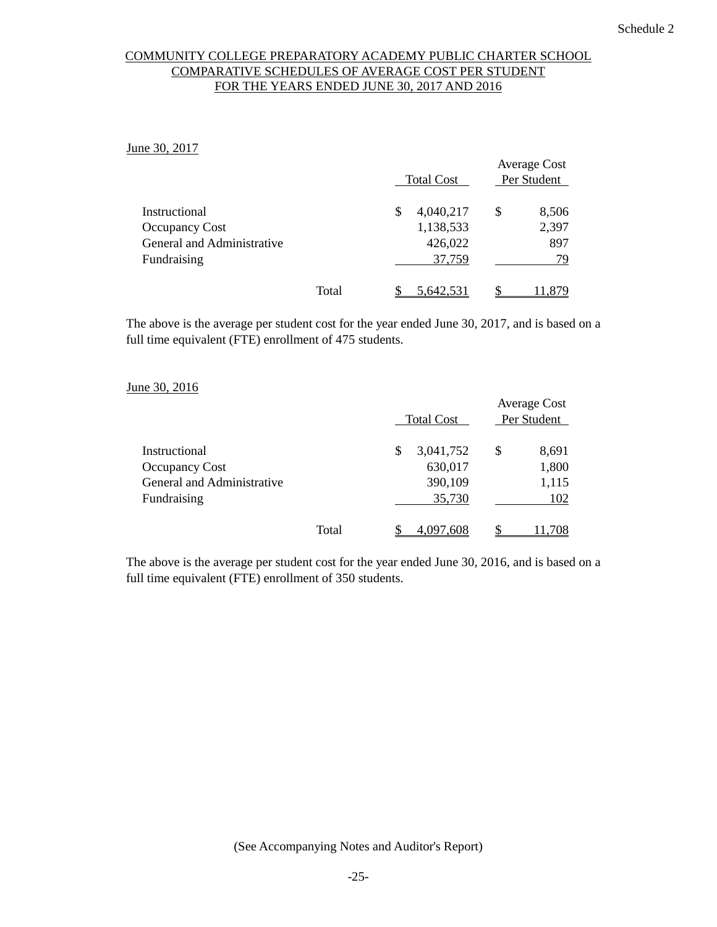### COMMUNITY COLLEGE PREPARATORY ACADEMY PUBLIC CHARTER SCHOOL COMPARATIVE SCHEDULES OF AVERAGE COST PER STUDENT FOR THE YEARS ENDED JUNE 30, 2017 AND 2016

#### June 30, 2017

|                            |       | <b>Total Cost</b> | <b>Average Cost</b><br>Per Student |       |
|----------------------------|-------|-------------------|------------------------------------|-------|
| Instructional              |       | \$<br>4,040,217   | S                                  | 8,506 |
| <b>Occupancy Cost</b>      |       | 1,138,533         |                                    | 2,397 |
| General and Administrative |       | 426,022           |                                    | 897   |
| Fundraising                |       | 37,759            |                                    | 79    |
|                            | Total | 5.642.531         |                                    |       |

The above is the average per student cost for the year ended June 30, 2017, and is based on a full time equivalent (FTE) enrollment of 475 students.

#### June 30, 2016

|                            |       | <b>Total Cost</b> | <b>Average Cost</b><br>Per Student |       |  |
|----------------------------|-------|-------------------|------------------------------------|-------|--|
| Instructional              |       | \$<br>3,041,752   | S                                  | 8,691 |  |
| <b>Occupancy Cost</b>      |       | 630,017           |                                    | 1,800 |  |
| General and Administrative |       | 390,109           |                                    | 1,115 |  |
| Fundraising                |       | 35,730            |                                    | 102   |  |
|                            | Total | 4,097,608         |                                    | .708  |  |

The above is the average per student cost for the year ended June 30, 2016, and is based on a full time equivalent (FTE) enrollment of 350 students.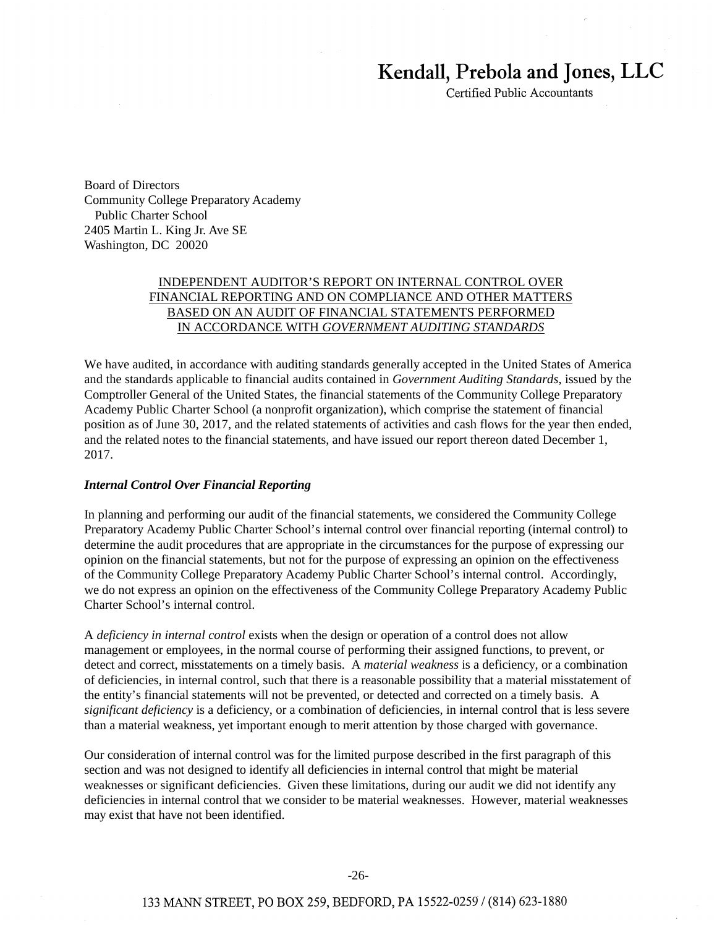# Kendall, Prebola and Jones, LLC

Certified Public Accountants

Board of Directors Community College Preparatory Academy Public Charter School 2405 Martin L. King Jr. Ave SE Washington, DC 20020

### INDEPENDENT AUDITOR'S REPORT ON INTERNAL CONTROL OVER FINANCIAL REPORTING AND ON COMPLIANCE AND OTHER MATTERS BASED ON AN AUDIT OF FINANCIAL STATEMENTS PERFORMED IN ACCORDANCE WITH *GOVERNMENT AUDITING STANDARDS*

We have audited, in accordance with auditing standards generally accepted in the United States of America and the standards applicable to financial audits contained in *Government Auditing Standards*, issued by the Comptroller General of the United States, the financial statements of the Community College Preparatory Academy Public Charter School (a nonprofit organization), which comprise the statement of financial position as of June 30, 2017, and the related statements of activities and cash flows for the year then ended, and the related notes to the financial statements, and have issued our report thereon dated December 1, 2017.

#### *Internal Control Over Financial Reporting*

In planning and performing our audit of the financial statements, we considered the Community College Preparatory Academy Public Charter School's internal control over financial reporting (internal control) to determine the audit procedures that are appropriate in the circumstances for the purpose of expressing our opinion on the financial statements, but not for the purpose of expressing an opinion on the effectiveness of the Community College Preparatory Academy Public Charter School's internal control. Accordingly, we do not express an opinion on the effectiveness of the Community College Preparatory Academy Public Charter School's internal control.

A *deficiency in internal control* exists when the design or operation of a control does not allow management or employees, in the normal course of performing their assigned functions, to prevent, or detect and correct, misstatements on a timely basis. A *material weakness* is a deficiency, or a combination of deficiencies, in internal control, such that there is a reasonable possibility that a material misstatement of the entity's financial statements will not be prevented, or detected and corrected on a timely basis. A *significant deficiency* is a deficiency, or a combination of deficiencies, in internal control that is less severe than a material weakness, yet important enough to merit attention by those charged with governance.

Our consideration of internal control was for the limited purpose described in the first paragraph of this section and was not designed to identify all deficiencies in internal control that might be material weaknesses or significant deficiencies. Given these limitations, during our audit we did not identify any deficiencies in internal control that we consider to be material weaknesses. However, material weaknesses may exist that have not been identified.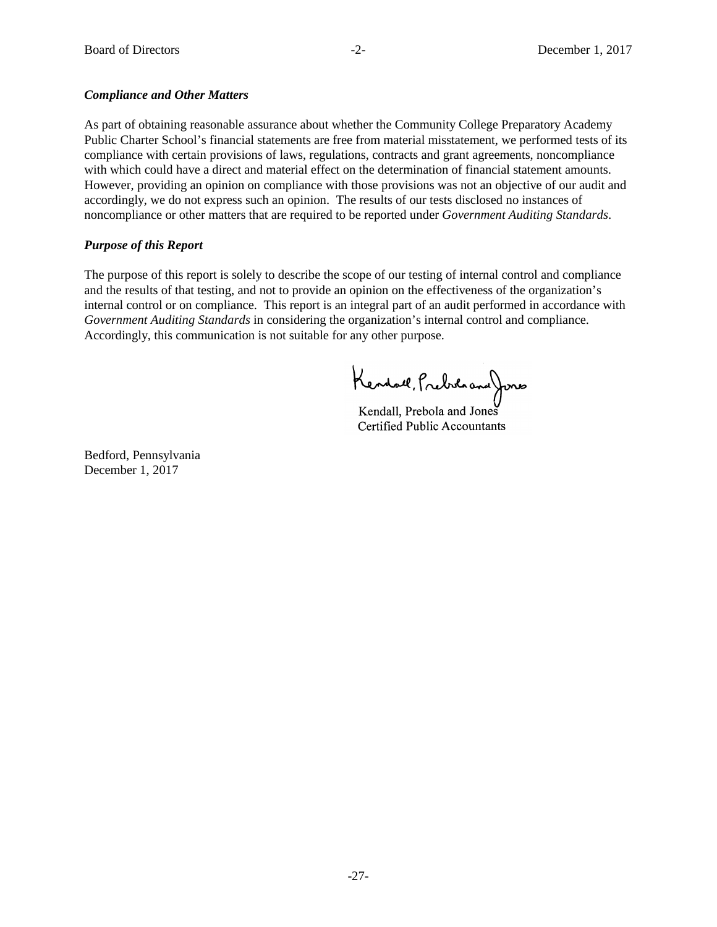## *Compliance and Other Matters* **including and reconciling such information directly to the unit of underlying and other Matters**

As part of obtaining reasonable assurance about whether the Community College Preparatory Academy Public Charter School's financial statements are free from material misstatement, we performed tests of its compliance with certain provisions of laws, regulations, contracts and grant agreements, noncompliance with which could have a direct and material effect on the determination of financial statement amounts. However, providing an opinion on compliance with those provisions was not an objective of our audit and accordingly, we do not express such an opinion. The results of our tests disclosed no instances of noncompliance or other matters that are required to be reported under *Government Auditing Standards*. As part of obtaining reasonable assurance about whether the Community College Preparatory Acaden

### *Purpose of this Report*  $\blacksquare$

The purpose of this report is solely to describe the scope of our testing of internal control and compliance and the results of that testing, and not to provide an opinion on the effectiveness of the organization's internal control or on compliance. This report is an integral part of an audit performed in accordance with Government Auditing Standards in considering the organization's internal control and compliance. Accordingly, this communication is not suitable for any other purpose.

Kendal, Prebihand Jones

Kendall, Prebola and Jones Kendall, Prebola and Jones Certified Public Accountants Certified Public Accountants

Bedford, Pennsylvania Bedford, Pennsylvania December 1, 2017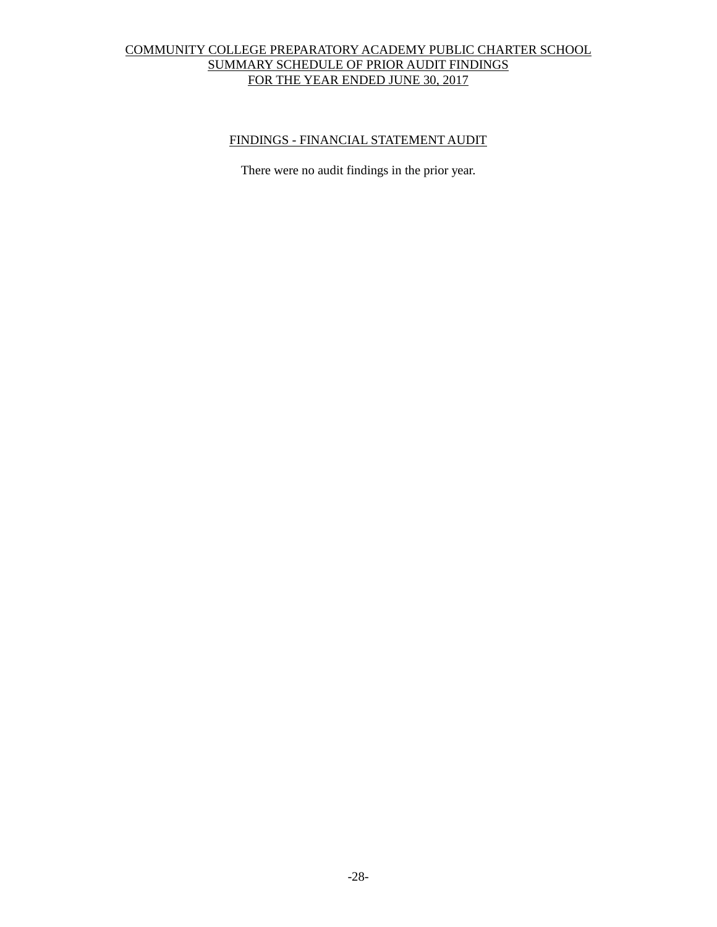### COMMUNITY COLLEGE PREPARATORY ACADEMY PUBLIC CHARTER SCHOOL SUMMARY SCHEDULE OF PRIOR AUDIT FINDINGS FOR THE YEAR ENDED JUNE 30, 2017

### FINDINGS - FINANCIAL STATEMENT AUDIT

There were no audit findings in the prior year.